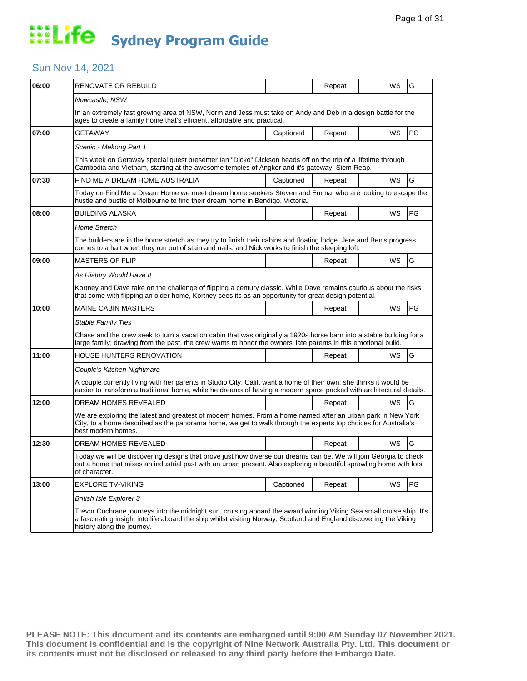### Sun Nov 14, 2021

| 06:00 | RENOVATE OR REBUILD                                                                                                                                                                                                                                                       |           | Repeat |  | WS        | G         |  |  |  |
|-------|---------------------------------------------------------------------------------------------------------------------------------------------------------------------------------------------------------------------------------------------------------------------------|-----------|--------|--|-----------|-----------|--|--|--|
|       | Newcastle, NSW                                                                                                                                                                                                                                                            |           |        |  |           |           |  |  |  |
|       | In an extremely fast growing area of NSW, Norm and Jess must take on Andy and Deb in a design battle for the<br>ages to create a family home that's efficient, affordable and practical.                                                                                  |           |        |  |           |           |  |  |  |
| 07:00 | GETAWAY                                                                                                                                                                                                                                                                   | Captioned | Repeat |  | WS        | PG        |  |  |  |
|       | Scenic - Mekong Part 1                                                                                                                                                                                                                                                    |           |        |  |           |           |  |  |  |
|       | This week on Getaway special guest presenter Ian "Dicko" Dickson heads off on the trip of a lifetime through<br>Cambodia and Vietnam, starting at the awesome temples of Angkor and it's gateway, Siem Reap.                                                              |           |        |  |           |           |  |  |  |
| 07:30 | FIND ME A DREAM HOME AUSTRALIA                                                                                                                                                                                                                                            | Captioned | Repeat |  | WS        | G         |  |  |  |
|       | Today on Find Me a Dream Home we meet dream home seekers Steven and Emma, who are looking to escape the<br>hustle and bustle of Melbourne to find their dream home in Bendigo, Victoria.                                                                                  |           |        |  |           |           |  |  |  |
| 08:00 | <b>BUILDING ALASKA</b>                                                                                                                                                                                                                                                    |           | Repeat |  | WS        | <b>PG</b> |  |  |  |
|       | <b>Home Stretch</b>                                                                                                                                                                                                                                                       |           |        |  |           |           |  |  |  |
|       | The builders are in the home stretch as they try to finish their cabins and floating lodge. Jere and Ben's progress<br>comes to a halt when they run out of stain and nails, and Nick works to finish the sleeping loft.                                                  |           |        |  |           |           |  |  |  |
| 09:00 | <b>MASTERS OF FLIP</b>                                                                                                                                                                                                                                                    |           | Repeat |  | WS        | G         |  |  |  |
|       | As History Would Have It                                                                                                                                                                                                                                                  |           |        |  |           |           |  |  |  |
|       | Kortney and Dave take on the challenge of flipping a century classic. While Dave remains cautious about the risks<br>that come with flipping an older home, Kortney sees its as an opportunity for great design potential.                                                |           |        |  |           |           |  |  |  |
| 10:00 | <b>MAINE CABIN MASTERS</b>                                                                                                                                                                                                                                                |           | Repeat |  | WS        | PG        |  |  |  |
|       | <b>Stable Family Ties</b>                                                                                                                                                                                                                                                 |           |        |  |           |           |  |  |  |
|       | Chase and the crew seek to turn a vacation cabin that was originally a 1920s horse barn into a stable building for a<br>large family; drawing from the past, the crew wants to honor the owners' late parents in this emotional build.                                    |           |        |  |           |           |  |  |  |
| 11:00 | HOUSE HUNTERS RENOVATION                                                                                                                                                                                                                                                  |           | Repeat |  | WS        | G         |  |  |  |
|       | Couple's Kitchen Nightmare                                                                                                                                                                                                                                                |           |        |  |           |           |  |  |  |
|       | A couple currently living with her parents in Studio City, Calif, want a home of their own; she thinks it would be<br>easier to transform a traditional home, while he dreams of having a modern space packed with architectural details.                                 |           |        |  |           |           |  |  |  |
| 12:00 | DREAM HOMES REVEALED                                                                                                                                                                                                                                                      |           | Repeat |  | WS        | G         |  |  |  |
|       | We are exploring the latest and greatest of modern homes. From a home named after an urban park in New York<br>City, to a home described as the panorama home, we get to walk through the experts top choices for Australia's<br>best modern homes.                       |           |        |  |           |           |  |  |  |
| 12:30 | DREAM HOMES REVEALED                                                                                                                                                                                                                                                      |           | Repeat |  | <b>WS</b> | G         |  |  |  |
|       | Today we will be discovering designs that prove just how diverse our dreams can be. We will join Georgia to check<br>out a home that mixes an industrial past with an urban present. Also exploring a beautiful sprawling home with lots<br>of character.                 |           |        |  |           |           |  |  |  |
| 13:00 | <b>EXPLORE TV-VIKING</b>                                                                                                                                                                                                                                                  | Captioned | Repeat |  | WS        | PG        |  |  |  |
|       | <b>British Isle Explorer 3</b>                                                                                                                                                                                                                                            |           |        |  |           |           |  |  |  |
|       | Trevor Cochrane journeys into the midnight sun, cruising aboard the award winning Viking Sea small cruise ship. It's<br>a fascinating insight into life aboard the ship whilst visiting Norway, Scotland and England discovering the Viking<br>history along the journey. |           |        |  |           |           |  |  |  |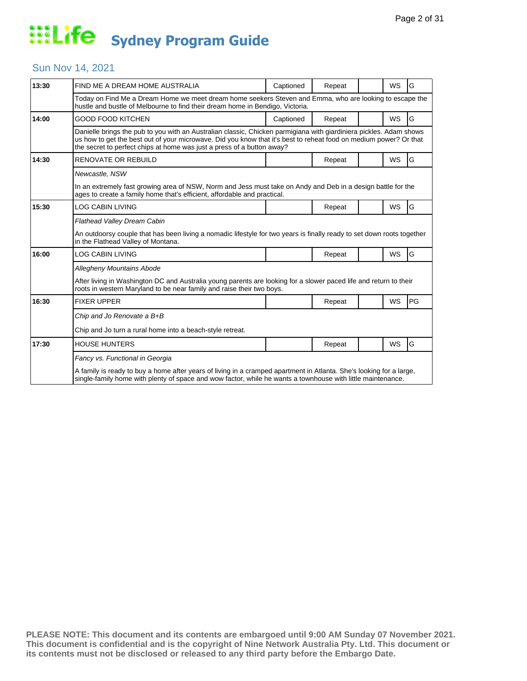#### Sun Nov 14, 2021

| 13:30 | FIND ME A DREAM HOME AUSTRALIA                                                                                                                                                                                                                                                                                    | Captioned | Repeat |  | <b>WS</b> | G  |  |  |
|-------|-------------------------------------------------------------------------------------------------------------------------------------------------------------------------------------------------------------------------------------------------------------------------------------------------------------------|-----------|--------|--|-----------|----|--|--|
|       | Today on Find Me a Dream Home we meet dream home seekers Steven and Emma, who are looking to escape the<br>hustle and bustle of Melbourne to find their dream home in Bendigo, Victoria.                                                                                                                          |           |        |  |           |    |  |  |
| 14:00 | GOOD FOOD KITCHEN                                                                                                                                                                                                                                                                                                 | Captioned | Repeat |  | WS        | G  |  |  |
|       | Danielle brings the pub to you with an Australian classic, Chicken parmigiana with giardiniera pickles. Adam shows<br>us how to get the best out of your microwave. Did you know that it's best to reheat food on medium power? Or that<br>the secret to perfect chips at home was just a press of a button away? |           |        |  |           |    |  |  |
| 14:30 | <b>RENOVATE OR REBUILD</b>                                                                                                                                                                                                                                                                                        |           | Repeat |  | <b>WS</b> | G  |  |  |
|       | Newcastle, NSW                                                                                                                                                                                                                                                                                                    |           |        |  |           |    |  |  |
|       | In an extremely fast growing area of NSW, Norm and Jess must take on Andy and Deb in a design battle for the<br>ages to create a family home that's efficient, affordable and practical.                                                                                                                          |           |        |  |           |    |  |  |
| 15:30 | LOG CABIN LIVING                                                                                                                                                                                                                                                                                                  |           | Repeat |  | <b>WS</b> | G  |  |  |
|       | <b>Flathead Valley Dream Cabin</b>                                                                                                                                                                                                                                                                                |           |        |  |           |    |  |  |
|       | An outdoorsy couple that has been living a nomadic lifestyle for two years is finally ready to set down roots together<br>in the Flathead Valley of Montana.                                                                                                                                                      |           |        |  |           |    |  |  |
| 16:00 | LOG CABIN LIVING                                                                                                                                                                                                                                                                                                  |           | Repeat |  | <b>WS</b> | G  |  |  |
|       | Allegheny Mountains Abode                                                                                                                                                                                                                                                                                         |           |        |  |           |    |  |  |
|       | After living in Washington DC and Australia young parents are looking for a slower paced life and return to their<br>roots in western Maryland to be near family and raise their two boys.                                                                                                                        |           |        |  |           |    |  |  |
| 16:30 | <b>FIXER UPPER</b>                                                                                                                                                                                                                                                                                                |           | Repeat |  | <b>WS</b> | PG |  |  |
|       | Chip and Jo Renovate a B+B                                                                                                                                                                                                                                                                                        |           |        |  |           |    |  |  |
|       | Chip and Jo turn a rural home into a beach-style retreat.                                                                                                                                                                                                                                                         |           |        |  |           |    |  |  |
| 17:30 | <b>HOUSE HUNTERS</b>                                                                                                                                                                                                                                                                                              |           | Repeat |  | WS        | G  |  |  |
|       | Fancy vs. Functional in Georgia<br>A family is ready to buy a home after years of living in a cramped apartment in Atlanta. She's looking for a large,<br>single-family home with plenty of space and wow factor, while he wants a townhouse with little maintenance.                                             |           |        |  |           |    |  |  |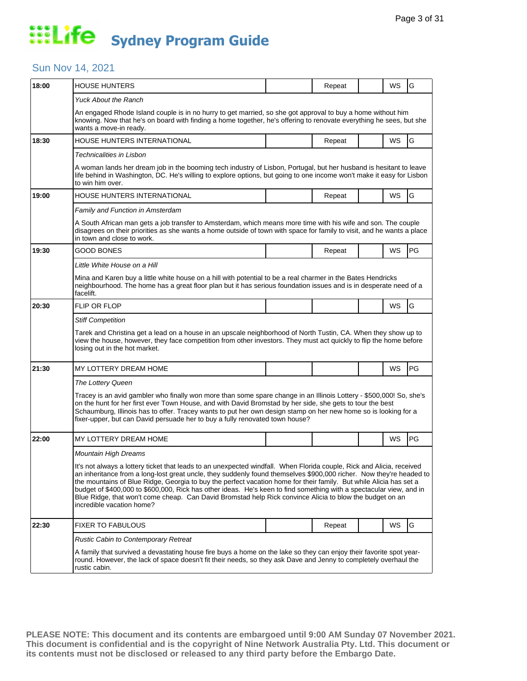### Sun Nov 14, 2021

| 18:00 | <b>HOUSE HUNTERS</b>                                                                                                                                                                                                                                                                                                                                                                                                                                                                                                                                                                                                               |  | Repeat |  | WS | G  |  |  |
|-------|------------------------------------------------------------------------------------------------------------------------------------------------------------------------------------------------------------------------------------------------------------------------------------------------------------------------------------------------------------------------------------------------------------------------------------------------------------------------------------------------------------------------------------------------------------------------------------------------------------------------------------|--|--------|--|----|----|--|--|
|       | <b>Yuck About the Ranch</b>                                                                                                                                                                                                                                                                                                                                                                                                                                                                                                                                                                                                        |  |        |  |    |    |  |  |
|       | An engaged Rhode Island couple is in no hurry to get married, so she got approval to buy a home without him<br>knowing. Now that he's on board with finding a home together, he's offering to renovate everything he sees, but she<br>wants a move-in ready.                                                                                                                                                                                                                                                                                                                                                                       |  |        |  |    |    |  |  |
| 18:30 | HOUSE HUNTERS INTERNATIONAL                                                                                                                                                                                                                                                                                                                                                                                                                                                                                                                                                                                                        |  | Repeat |  | WS | G  |  |  |
|       | Technicalities in Lisbon                                                                                                                                                                                                                                                                                                                                                                                                                                                                                                                                                                                                           |  |        |  |    |    |  |  |
|       | A woman lands her dream job in the booming tech industry of Lisbon, Portugal, but her husband is hesitant to leave<br>life behind in Washington, DC. He's willing to explore options, but going to one income won't make it easy for Lisbon<br>to win him over.                                                                                                                                                                                                                                                                                                                                                                    |  |        |  |    |    |  |  |
| 19:00 | <b>HOUSE HUNTERS INTERNATIONAL</b>                                                                                                                                                                                                                                                                                                                                                                                                                                                                                                                                                                                                 |  | Repeat |  | WS | G  |  |  |
|       | Family and Function in Amsterdam                                                                                                                                                                                                                                                                                                                                                                                                                                                                                                                                                                                                   |  |        |  |    |    |  |  |
|       | A South African man gets a job transfer to Amsterdam, which means more time with his wife and son. The couple<br>disagrees on their priorities as she wants a home outside of town with space for family to visit, and he wants a place<br>in town and close to work.                                                                                                                                                                                                                                                                                                                                                              |  |        |  |    |    |  |  |
| 19:30 | <b>GOOD BONES</b>                                                                                                                                                                                                                                                                                                                                                                                                                                                                                                                                                                                                                  |  | Repeat |  | WS | PG |  |  |
|       | Little White House on a Hill                                                                                                                                                                                                                                                                                                                                                                                                                                                                                                                                                                                                       |  |        |  |    |    |  |  |
|       | Mina and Karen buy a little white house on a hill with potential to be a real charmer in the Bates Hendricks<br>neighbourhood. The home has a great floor plan but it has serious foundation issues and is in desperate need of a<br>facelift.                                                                                                                                                                                                                                                                                                                                                                                     |  |        |  |    |    |  |  |
| 20:30 | <b>FLIP OR FLOP</b>                                                                                                                                                                                                                                                                                                                                                                                                                                                                                                                                                                                                                |  |        |  | WS | G  |  |  |
|       | <b>Stiff Competition</b>                                                                                                                                                                                                                                                                                                                                                                                                                                                                                                                                                                                                           |  |        |  |    |    |  |  |
|       | Tarek and Christina get a lead on a house in an upscale neighborhood of North Tustin, CA. When they show up to<br>view the house, however, they face competition from other investors. They must act quickly to flip the home before<br>losing out in the hot market.                                                                                                                                                                                                                                                                                                                                                              |  |        |  |    |    |  |  |
| 21:30 | MY LOTTERY DREAM HOME                                                                                                                                                                                                                                                                                                                                                                                                                                                                                                                                                                                                              |  |        |  | WS | PG |  |  |
|       | The Lottery Queen                                                                                                                                                                                                                                                                                                                                                                                                                                                                                                                                                                                                                  |  |        |  |    |    |  |  |
|       | Tracey is an avid gambler who finally won more than some spare change in an Illinois Lottery - \$500,000! So, she's<br>on the hunt for her first ever Town House, and with David Bromstad by her side, she gets to tour the best<br>Schaumburg, Illinois has to offer. Tracey wants to put her own design stamp on her new home so is looking for a<br>fixer-upper, but can David persuade her to buy a fully renovated town house?                                                                                                                                                                                                |  |        |  |    |    |  |  |
| 22:00 | MY LOTTERY DREAM HOME                                                                                                                                                                                                                                                                                                                                                                                                                                                                                                                                                                                                              |  |        |  | WS | PG |  |  |
|       | <b>Mountain High Dreams</b>                                                                                                                                                                                                                                                                                                                                                                                                                                                                                                                                                                                                        |  |        |  |    |    |  |  |
|       | It's not always a lottery ticket that leads to an unexpected windfall. When Florida couple, Rick and Alicia, received<br>an inheritance from a long-lost great uncle, they suddenly found themselves \$900,000 richer. Now they're headed to<br>the mountains of Blue Ridge, Georgia to buy the perfect vacation home for their family. But while Alicia has set a<br>budget of \$400,000 to \$600,000, Rick has other ideas. He's keen to find something with a spectacular view, and in<br>Blue Ridge, that won't come cheap. Can David Bromstad help Rick convince Alicia to blow the budget on an<br>incredible vacation home? |  |        |  |    |    |  |  |
| 22:30 | <b>FIXER TO FABULOUS</b>                                                                                                                                                                                                                                                                                                                                                                                                                                                                                                                                                                                                           |  | Repeat |  | WS | G  |  |  |
|       | <b>Rustic Cabin to Contemporary Retreat</b>                                                                                                                                                                                                                                                                                                                                                                                                                                                                                                                                                                                        |  |        |  |    |    |  |  |
|       | A family that survived a devastating house fire buys a home on the lake so they can enjoy their favorite spot year-<br>round. However, the lack of space doesn't fit their needs, so they ask Dave and Jenny to completely overhaul the<br>rustic cabin.                                                                                                                                                                                                                                                                                                                                                                           |  |        |  |    |    |  |  |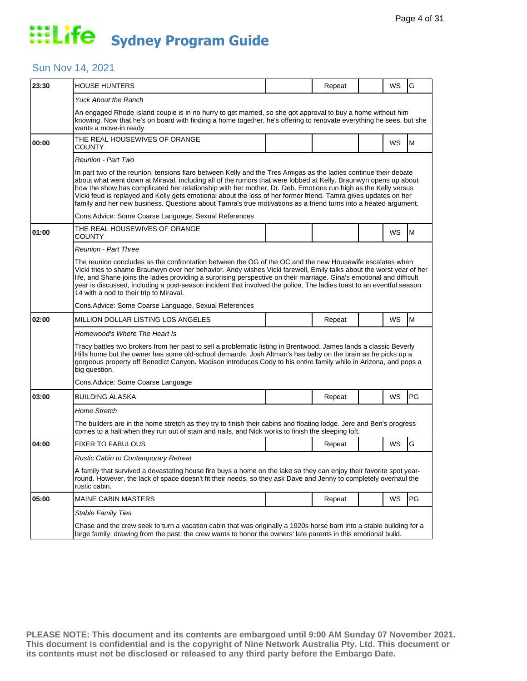### Sun Nov 14, 2021

| 23:30 | <b>HOUSE HUNTERS</b>                                                                                                                                                                                                                                                                                                                                                                                                                                                                                                                                                                       |  | Repeat |  | WS | G         |  |  |  |
|-------|--------------------------------------------------------------------------------------------------------------------------------------------------------------------------------------------------------------------------------------------------------------------------------------------------------------------------------------------------------------------------------------------------------------------------------------------------------------------------------------------------------------------------------------------------------------------------------------------|--|--------|--|----|-----------|--|--|--|
|       | <b>Yuck About the Ranch</b>                                                                                                                                                                                                                                                                                                                                                                                                                                                                                                                                                                |  |        |  |    |           |  |  |  |
|       | An engaged Rhode Island couple is in no hurry to get married, so she got approval to buy a home without him<br>knowing. Now that he's on board with finding a home together, he's offering to renovate everything he sees, but she<br>wants a move-in ready.                                                                                                                                                                                                                                                                                                                               |  |        |  |    |           |  |  |  |
| 00:00 | THE REAL HOUSEWIVES OF ORANGE<br>COUNTY                                                                                                                                                                                                                                                                                                                                                                                                                                                                                                                                                    |  |        |  | WS | M         |  |  |  |
|       | Reunion - Part Two                                                                                                                                                                                                                                                                                                                                                                                                                                                                                                                                                                         |  |        |  |    |           |  |  |  |
|       | In part two of the reunion, tensions flare between Kelly and the Tres Amigas as the ladies continue their debate<br>about what went down at Miraval, including all of the rumors that were lobbed at Kelly. Braunwyn opens up about<br>how the show has complicated her relationship with her mother, Dr. Deb. Emotions run high as the Kelly versus<br>Vicki feud is replayed and Kelly gets emotional about the loss of her former friend. Tamra gives updates on her<br>family and her new business. Questions about Tamra's true motivations as a friend turns into a heated argument. |  |        |  |    |           |  |  |  |
|       | Cons. Advice: Some Coarse Language, Sexual References                                                                                                                                                                                                                                                                                                                                                                                                                                                                                                                                      |  |        |  |    |           |  |  |  |
| 01:00 | THE REAL HOUSEWIVES OF ORANGE<br>COUNTY                                                                                                                                                                                                                                                                                                                                                                                                                                                                                                                                                    |  |        |  | WS | M         |  |  |  |
|       | Reunion - Part Three                                                                                                                                                                                                                                                                                                                                                                                                                                                                                                                                                                       |  |        |  |    |           |  |  |  |
|       | The reunion concludes as the confrontation between the OG of the OC and the new Housewife escalates when<br>Vicki tries to shame Braunwyn over her behavior. Andy wishes Vicki farewell, Emily talks about the worst year of her<br>life, and Shane joins the ladies providing a surprising perspective on their marriage. Gina's emotional and difficult<br>year is discussed, including a post-season incident that involved the police. The ladies toast to an eventful season<br>14 with a nod to their trip to Miraval.                                                               |  |        |  |    |           |  |  |  |
|       | Cons. Advice: Some Coarse Language, Sexual References                                                                                                                                                                                                                                                                                                                                                                                                                                                                                                                                      |  |        |  |    |           |  |  |  |
| 02:00 | MILLION DOLLAR LISTING LOS ANGELES                                                                                                                                                                                                                                                                                                                                                                                                                                                                                                                                                         |  | Repeat |  | WS | M         |  |  |  |
|       | Homewood's Where The Heart Is                                                                                                                                                                                                                                                                                                                                                                                                                                                                                                                                                              |  |        |  |    |           |  |  |  |
|       | Tracy battles two brokers from her past to sell a problematic listing in Brentwood. James lands a classic Beverly<br>Hills home but the owner has some old-school demands. Josh Altman's has baby on the brain as he picks up a<br>gorgeous property off Benedict Canyon. Madison introduces Cody to his entire family while in Arizona, and pops a<br>big question.                                                                                                                                                                                                                       |  |        |  |    |           |  |  |  |
|       | Cons.Advice: Some Coarse Language                                                                                                                                                                                                                                                                                                                                                                                                                                                                                                                                                          |  |        |  |    |           |  |  |  |
| 03:00 | <b>BUILDING ALASKA</b>                                                                                                                                                                                                                                                                                                                                                                                                                                                                                                                                                                     |  | Repeat |  | WS | <b>PG</b> |  |  |  |
|       | Home Stretch                                                                                                                                                                                                                                                                                                                                                                                                                                                                                                                                                                               |  |        |  |    |           |  |  |  |
|       | The builders are in the home stretch as they try to finish their cabins and floating lodge. Jere and Ben's progress<br>comes to a halt when they run out of stain and nails, and Nick works to finish the sleeping loft.                                                                                                                                                                                                                                                                                                                                                                   |  |        |  |    |           |  |  |  |
| 04:00 | <b>FIXER TO FABULOUS</b>                                                                                                                                                                                                                                                                                                                                                                                                                                                                                                                                                                   |  | Repeat |  | WS | G         |  |  |  |
|       | Rustic Cabin to Contemporary Retreat                                                                                                                                                                                                                                                                                                                                                                                                                                                                                                                                                       |  |        |  |    |           |  |  |  |
|       | A family that survived a devastating house fire buys a home on the lake so they can enjoy their favorite spot year-<br>round. However, the lack of space doesn't fit their needs, so they ask Dave and Jenny to completely overhaul the<br>rustic cabin.                                                                                                                                                                                                                                                                                                                                   |  |        |  |    |           |  |  |  |
| 05:00 | <b>MAINE CABIN MASTERS</b>                                                                                                                                                                                                                                                                                                                                                                                                                                                                                                                                                                 |  | Repeat |  | WS | PG        |  |  |  |
|       | <b>Stable Family Ties</b>                                                                                                                                                                                                                                                                                                                                                                                                                                                                                                                                                                  |  |        |  |    |           |  |  |  |
|       | Chase and the crew seek to turn a vacation cabin that was originally a 1920s horse barn into a stable building for a<br>large family; drawing from the past, the crew wants to honor the owners' late parents in this emotional build.                                                                                                                                                                                                                                                                                                                                                     |  |        |  |    |           |  |  |  |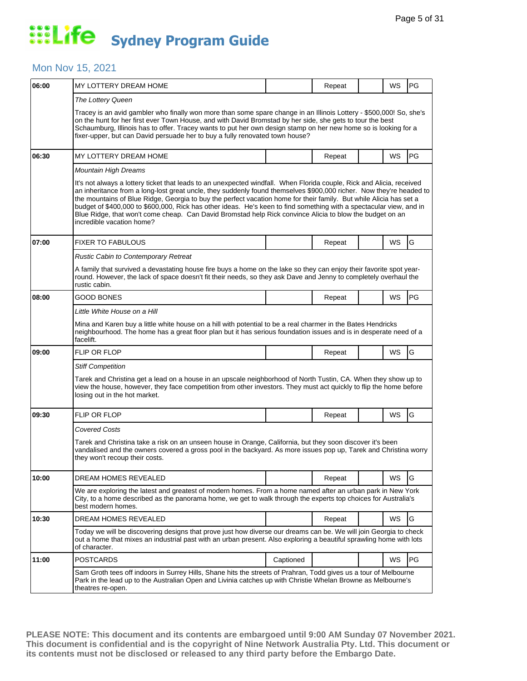### Mon Nov 15, 2021

| 06:00 | MY LOTTERY DREAM HOME                                                                                                                                                                                                                                                                                                                                                                                                                                                                                                                                                                                                              |           | Repeat |  | WS | <b>PG</b> |  |  |
|-------|------------------------------------------------------------------------------------------------------------------------------------------------------------------------------------------------------------------------------------------------------------------------------------------------------------------------------------------------------------------------------------------------------------------------------------------------------------------------------------------------------------------------------------------------------------------------------------------------------------------------------------|-----------|--------|--|----|-----------|--|--|
|       | The Lottery Queen<br>Tracey is an avid gambler who finally won more than some spare change in an Illinois Lottery - \$500,000! So, she's<br>on the hunt for her first ever Town House, and with David Bromstad by her side, she gets to tour the best<br>Schaumburg, Illinois has to offer. Tracey wants to put her own design stamp on her new home so is looking for a<br>fixer-upper, but can David persuade her to buy a fully renovated town house?                                                                                                                                                                           |           |        |  |    |           |  |  |
| 06:30 | MY LOTTERY DREAM HOME                                                                                                                                                                                                                                                                                                                                                                                                                                                                                                                                                                                                              |           | Repeat |  | WS | PG        |  |  |
|       | Mountain High Dreams                                                                                                                                                                                                                                                                                                                                                                                                                                                                                                                                                                                                               |           |        |  |    |           |  |  |
|       | It's not always a lottery ticket that leads to an unexpected windfall. When Florida couple, Rick and Alicia, received<br>an inheritance from a long-lost great uncle, they suddenly found themselves \$900,000 richer. Now they're headed to<br>the mountains of Blue Ridge, Georgia to buy the perfect vacation home for their family. But while Alicia has set a<br>budget of \$400,000 to \$600,000, Rick has other ideas. He's keen to find something with a spectacular view, and in<br>Blue Ridge, that won't come cheap. Can David Bromstad help Rick convince Alicia to blow the budget on an<br>incredible vacation home? |           |        |  |    |           |  |  |
| 07:00 | <b>FIXER TO FABULOUS</b>                                                                                                                                                                                                                                                                                                                                                                                                                                                                                                                                                                                                           |           | Repeat |  | WS | G         |  |  |
|       | Rustic Cabin to Contemporary Retreat                                                                                                                                                                                                                                                                                                                                                                                                                                                                                                                                                                                               |           |        |  |    |           |  |  |
|       | A family that survived a devastating house fire buys a home on the lake so they can enjoy their favorite spot year-<br>round. However, the lack of space doesn't fit their needs, so they ask Dave and Jenny to completely overhaul the<br>rustic cabin.                                                                                                                                                                                                                                                                                                                                                                           |           |        |  |    |           |  |  |
| 08:00 | GOOD BONES                                                                                                                                                                                                                                                                                                                                                                                                                                                                                                                                                                                                                         |           | Repeat |  | WS | PG        |  |  |
|       | Little White House on a Hill                                                                                                                                                                                                                                                                                                                                                                                                                                                                                                                                                                                                       |           |        |  |    |           |  |  |
|       | Mina and Karen buy a little white house on a hill with potential to be a real charmer in the Bates Hendricks<br>neighbourhood. The home has a great floor plan but it has serious foundation issues and is in desperate need of a<br>facelift.                                                                                                                                                                                                                                                                                                                                                                                     |           |        |  |    |           |  |  |
| 09:00 | FLIP OR FLOP                                                                                                                                                                                                                                                                                                                                                                                                                                                                                                                                                                                                                       |           | Repeat |  | WS | G         |  |  |
|       | <b>Stiff Competition</b>                                                                                                                                                                                                                                                                                                                                                                                                                                                                                                                                                                                                           |           |        |  |    |           |  |  |
|       | Tarek and Christina get a lead on a house in an upscale neighborhood of North Tustin, CA. When they show up to<br>view the house, however, they face competition from other investors. They must act quickly to flip the home before<br>losing out in the hot market.                                                                                                                                                                                                                                                                                                                                                              |           |        |  |    |           |  |  |
| 09:30 | FLIP OR FLOP                                                                                                                                                                                                                                                                                                                                                                                                                                                                                                                                                                                                                       |           | Repeat |  | WS | G         |  |  |
|       | <b>Covered Costs</b>                                                                                                                                                                                                                                                                                                                                                                                                                                                                                                                                                                                                               |           |        |  |    |           |  |  |
|       | Tarek and Christina take a risk on an unseen house in Orange, California, but they soon discover it's been<br>vandalised and the owners covered a gross pool in the backyard. As more issues pop up, Tarek and Christina worry<br>they won't recoup their costs.                                                                                                                                                                                                                                                                                                                                                                   |           |        |  |    |           |  |  |
| 10:00 | DREAM HOMES REVEALED                                                                                                                                                                                                                                                                                                                                                                                                                                                                                                                                                                                                               |           | Repeat |  | WS | G         |  |  |
|       | We are exploring the latest and greatest of modern homes. From a home named after an urban park in New York<br>City, to a home described as the panorama home, we get to walk through the experts top choices for Australia's<br>best modern homes.                                                                                                                                                                                                                                                                                                                                                                                |           |        |  |    |           |  |  |
| 10:30 | DREAM HOMES REVEALED                                                                                                                                                                                                                                                                                                                                                                                                                                                                                                                                                                                                               |           | Repeat |  | WS | G         |  |  |
|       | Today we will be discovering designs that prove just how diverse our dreams can be. We will join Georgia to check<br>out a home that mixes an industrial past with an urban present. Also exploring a beautiful sprawling home with lots<br>of character.                                                                                                                                                                                                                                                                                                                                                                          |           |        |  |    |           |  |  |
| 11:00 | <b>POSTCARDS</b>                                                                                                                                                                                                                                                                                                                                                                                                                                                                                                                                                                                                                   | Captioned |        |  | WS | PG        |  |  |
|       | Sam Groth tees off indoors in Surrey Hills, Shane hits the streets of Prahran, Todd gives us a tour of Melbourne<br>Park in the lead up to the Australian Open and Livinia catches up with Christie Whelan Browne as Melbourne's<br>theatres re-open.                                                                                                                                                                                                                                                                                                                                                                              |           |        |  |    |           |  |  |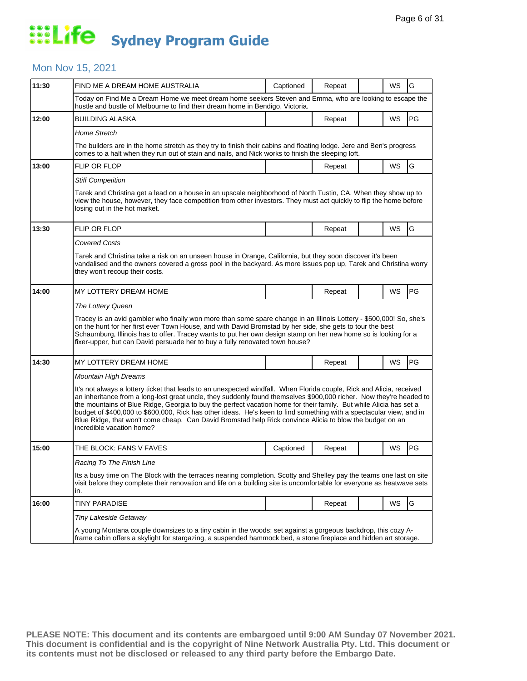#### Mon Nov 15, 2021

| 11:30 | FIND ME A DREAM HOME AUSTRALIA                                                                                                                                                                                                                                                                                                                                                                                                                                                                                                                                                                                                     | Captioned | Repeat |  | WS | G  |  |  |
|-------|------------------------------------------------------------------------------------------------------------------------------------------------------------------------------------------------------------------------------------------------------------------------------------------------------------------------------------------------------------------------------------------------------------------------------------------------------------------------------------------------------------------------------------------------------------------------------------------------------------------------------------|-----------|--------|--|----|----|--|--|
|       | Today on Find Me a Dream Home we meet dream home seekers Steven and Emma, who are looking to escape the<br>hustle and bustle of Melbourne to find their dream home in Bendigo, Victoria.                                                                                                                                                                                                                                                                                                                                                                                                                                           |           |        |  |    |    |  |  |
| 12:00 | <b>BUILDING ALASKA</b>                                                                                                                                                                                                                                                                                                                                                                                                                                                                                                                                                                                                             |           | Repeat |  | WS | PG |  |  |
|       | <b>Home Stretch</b>                                                                                                                                                                                                                                                                                                                                                                                                                                                                                                                                                                                                                |           |        |  |    |    |  |  |
|       | The builders are in the home stretch as they try to finish their cabins and floating lodge. Jere and Ben's progress<br>comes to a halt when they run out of stain and nails, and Nick works to finish the sleeping loft.                                                                                                                                                                                                                                                                                                                                                                                                           |           |        |  |    |    |  |  |
| 13:00 | <b>FLIP OR FLOP</b>                                                                                                                                                                                                                                                                                                                                                                                                                                                                                                                                                                                                                |           | Repeat |  | WS | G  |  |  |
|       | <b>Stiff Competition</b>                                                                                                                                                                                                                                                                                                                                                                                                                                                                                                                                                                                                           |           |        |  |    |    |  |  |
|       | Tarek and Christina get a lead on a house in an upscale neighborhood of North Tustin, CA. When they show up to<br>view the house, however, they face competition from other investors. They must act quickly to flip the home before<br>losing out in the hot market.                                                                                                                                                                                                                                                                                                                                                              |           |        |  |    |    |  |  |
| 13:30 | FLIP OR FLOP                                                                                                                                                                                                                                                                                                                                                                                                                                                                                                                                                                                                                       |           | Repeat |  | WS | G  |  |  |
|       | Covered Costs                                                                                                                                                                                                                                                                                                                                                                                                                                                                                                                                                                                                                      |           |        |  |    |    |  |  |
|       | Tarek and Christina take a risk on an unseen house in Orange, California, but they soon discover it's been<br>vandalised and the owners covered a gross pool in the backyard. As more issues pop up, Tarek and Christina worry<br>they won't recoup their costs.                                                                                                                                                                                                                                                                                                                                                                   |           |        |  |    |    |  |  |
| 14:00 | MY LOTTERY DREAM HOME                                                                                                                                                                                                                                                                                                                                                                                                                                                                                                                                                                                                              |           | Repeat |  | WS | PG |  |  |
|       | The Lottery Queen                                                                                                                                                                                                                                                                                                                                                                                                                                                                                                                                                                                                                  |           |        |  |    |    |  |  |
|       | Tracey is an avid gambler who finally won more than some spare change in an Illinois Lottery - \$500,000! So, she's<br>on the hunt for her first ever Town House, and with David Bromstad by her side, she gets to tour the best<br>Schaumburg, Illinois has to offer. Tracey wants to put her own design stamp on her new home so is looking for a<br>fixer-upper, but can David persuade her to buy a fully renovated town house?                                                                                                                                                                                                |           |        |  |    |    |  |  |
| 14:30 | MY LOTTERY DREAM HOME                                                                                                                                                                                                                                                                                                                                                                                                                                                                                                                                                                                                              |           | Repeat |  | WS | PG |  |  |
|       | <b>Mountain High Dreams</b>                                                                                                                                                                                                                                                                                                                                                                                                                                                                                                                                                                                                        |           |        |  |    |    |  |  |
|       | It's not always a lottery ticket that leads to an unexpected windfall. When Florida couple, Rick and Alicia, received<br>an inheritance from a long-lost great uncle, they suddenly found themselves \$900,000 richer. Now they're headed to<br>the mountains of Blue Ridge, Georgia to buy the perfect vacation home for their family. But while Alicia has set a<br>budget of \$400,000 to \$600,000, Rick has other ideas. He's keen to find something with a spectacular view, and in<br>Blue Ridge, that won't come cheap. Can David Bromstad help Rick convince Alicia to blow the budget on an<br>incredible vacation home? |           |        |  |    |    |  |  |
| 15:00 | THE BLOCK: FANS V FAVES                                                                                                                                                                                                                                                                                                                                                                                                                                                                                                                                                                                                            | Captioned | Repeat |  | WS | PG |  |  |
|       | Racing To The Finish Line                                                                                                                                                                                                                                                                                                                                                                                                                                                                                                                                                                                                          |           |        |  |    |    |  |  |
|       | Its a busy time on The Block with the terraces nearing completion. Scotty and Shelley pay the teams one last on site<br>visit before they complete their renovation and life on a building site is uncomfortable for everyone as heatwave sets<br>in.                                                                                                                                                                                                                                                                                                                                                                              |           |        |  |    |    |  |  |
| 16:00 | <b>TINY PARADISE</b>                                                                                                                                                                                                                                                                                                                                                                                                                                                                                                                                                                                                               |           | Repeat |  | WS | G  |  |  |
|       | Tiny Lakeside Getaway                                                                                                                                                                                                                                                                                                                                                                                                                                                                                                                                                                                                              |           |        |  |    |    |  |  |
|       | A young Montana couple downsizes to a tiny cabin in the woods; set against a gorgeous backdrop, this cozy A-<br>frame cabin offers a skylight for stargazing, a suspended hammock bed, a stone fireplace and hidden art storage.                                                                                                                                                                                                                                                                                                                                                                                                   |           |        |  |    |    |  |  |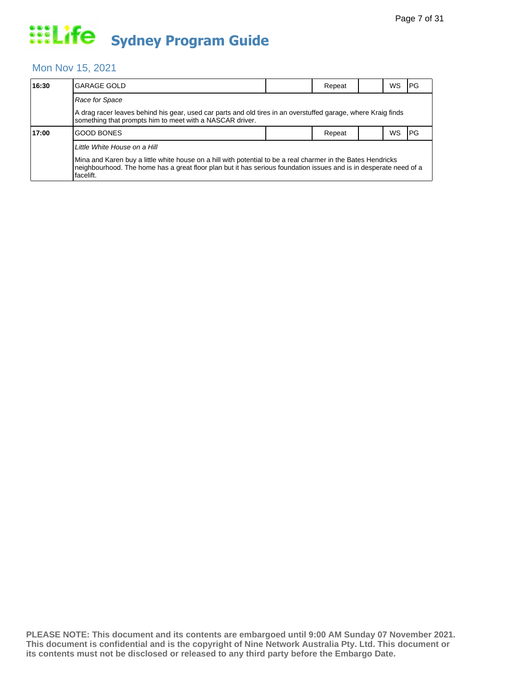#### Mon Nov 15, 2021

| 16:30 | <b>GARAGE GOLD</b>                                                                                                                                                                                                                             |  | Repeat |  | WS.       | <b>IPG</b> |  |  |  |
|-------|------------------------------------------------------------------------------------------------------------------------------------------------------------------------------------------------------------------------------------------------|--|--------|--|-----------|------------|--|--|--|
|       | Race for Space                                                                                                                                                                                                                                 |  |        |  |           |            |  |  |  |
|       | A drag racer leaves behind his gear, used car parts and old tires in an overstuffed garage, where Kraig finds<br>something that prompts him to meet with a NASCAR driver.                                                                      |  |        |  |           |            |  |  |  |
| 17:00 | <b>GOOD BONES</b>                                                                                                                                                                                                                              |  | Repeat |  | <b>WS</b> | <b>IPG</b> |  |  |  |
|       | Little White House on a Hill                                                                                                                                                                                                                   |  |        |  |           |            |  |  |  |
|       | Mina and Karen buy a little white house on a hill with potential to be a real charmer in the Bates Hendricks<br>neighbourhood. The home has a great floor plan but it has serious foundation issues and is in desperate need of a<br>facelift. |  |        |  |           |            |  |  |  |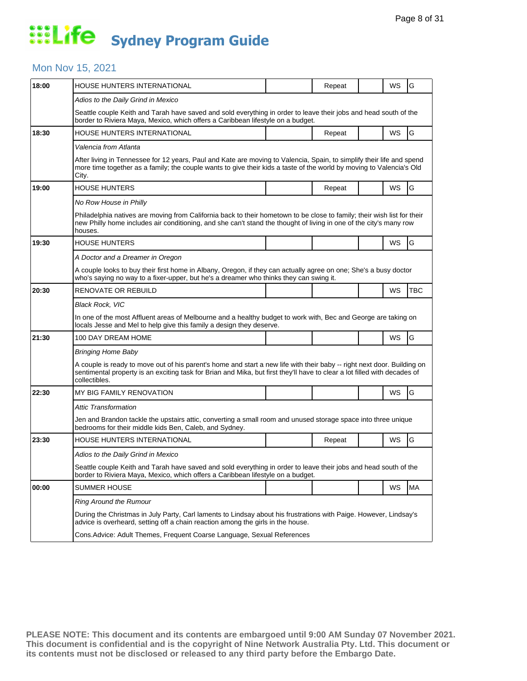### Mon Nov 15, 2021

| 18:00 | HOUSE HUNTERS INTERNATIONAL                                                                                                                                                                                                                                           |  | Repeat |  | WS | G         |  |  |
|-------|-----------------------------------------------------------------------------------------------------------------------------------------------------------------------------------------------------------------------------------------------------------------------|--|--------|--|----|-----------|--|--|
|       | Adios to the Daily Grind in Mexico                                                                                                                                                                                                                                    |  |        |  |    |           |  |  |
|       | Seattle couple Keith and Tarah have saved and sold everything in order to leave their jobs and head south of the<br>border to Riviera Maya, Mexico, which offers a Caribbean lifestyle on a budget.                                                                   |  |        |  |    |           |  |  |
| 18:30 | HOUSE HUNTERS INTERNATIONAL                                                                                                                                                                                                                                           |  | Repeat |  | WS | G         |  |  |
|       | Valencia from Atlanta                                                                                                                                                                                                                                                 |  |        |  |    |           |  |  |
|       | After living in Tennessee for 12 years, Paul and Kate are moving to Valencia, Spain, to simplify their life and spend<br>more time together as a family; the couple wants to give their kids a taste of the world by moving to Valencia's Old<br>City.                |  |        |  |    |           |  |  |
| 19:00 | <b>HOUSE HUNTERS</b>                                                                                                                                                                                                                                                  |  | Repeat |  | WS | G         |  |  |
|       | No Row House in Philly                                                                                                                                                                                                                                                |  |        |  |    |           |  |  |
|       | Philadelphia natives are moving from California back to their hometown to be close to family; their wish list for their<br>new Philly home includes air conditioning, and she can't stand the thought of living in one of the city's many row<br>houses.              |  |        |  |    |           |  |  |
| 19:30 | <b>HOUSE HUNTERS</b>                                                                                                                                                                                                                                                  |  |        |  | WS | G         |  |  |
|       | A Doctor and a Dreamer in Oregon                                                                                                                                                                                                                                      |  |        |  |    |           |  |  |
|       | A couple looks to buy their first home in Albany, Oregon, if they can actually agree on one; She's a busy doctor<br>who's saying no way to a fixer-upper, but he's a dreamer who thinks they can swing it.                                                            |  |        |  |    |           |  |  |
| 20:30 | <b>RENOVATE OR REBUILD</b>                                                                                                                                                                                                                                            |  |        |  | WS | TBC       |  |  |
|       | <b>Black Rock, VIC</b>                                                                                                                                                                                                                                                |  |        |  |    |           |  |  |
|       | In one of the most Affluent areas of Melbourne and a healthy budget to work with, Bec and George are taking on<br>locals Jesse and Mel to help give this family a design they deserve.                                                                                |  |        |  |    |           |  |  |
| 21:30 | 100 DAY DREAM HOME                                                                                                                                                                                                                                                    |  |        |  | WS | G         |  |  |
|       | <b>Bringing Home Baby</b>                                                                                                                                                                                                                                             |  |        |  |    |           |  |  |
|       | A couple is ready to move out of his parent's home and start a new life with their baby -- right next door. Building on<br>sentimental property is an exciting task for Brian and Mika, but first they'll have to clear a lot filled with decades of<br>collectibles. |  |        |  |    |           |  |  |
| 22:30 | MY BIG FAMILY RENOVATION                                                                                                                                                                                                                                              |  |        |  | WS | G         |  |  |
|       | Attic Transformation                                                                                                                                                                                                                                                  |  |        |  |    |           |  |  |
|       | Jen and Brandon tackle the upstairs attic, converting a small room and unused storage space into three unique<br>bedrooms for their middle kids Ben, Caleb, and Sydney.                                                                                               |  |        |  |    |           |  |  |
| 23:30 | HOUSE HUNTERS INTERNATIONAL                                                                                                                                                                                                                                           |  | Repeat |  | WS | G         |  |  |
|       | Adios to the Daily Grind in Mexico                                                                                                                                                                                                                                    |  |        |  |    |           |  |  |
|       | Seattle couple Keith and Tarah have saved and sold everything in order to leave their jobs and head south of the<br>border to Riviera Maya, Mexico, which offers a Caribbean lifestyle on a budget.                                                                   |  |        |  |    |           |  |  |
| 00:00 | <b>SUMMER HOUSE</b>                                                                                                                                                                                                                                                   |  |        |  | WS | <b>MA</b> |  |  |
|       | Ring Around the Rumour                                                                                                                                                                                                                                                |  |        |  |    |           |  |  |
|       | During the Christmas in July Party, Carl laments to Lindsay about his frustrations with Paige. However, Lindsay's<br>advice is overheard, setting off a chain reaction among the girls in the house.                                                                  |  |        |  |    |           |  |  |
|       | Cons. Advice: Adult Themes, Frequent Coarse Language, Sexual References                                                                                                                                                                                               |  |        |  |    |           |  |  |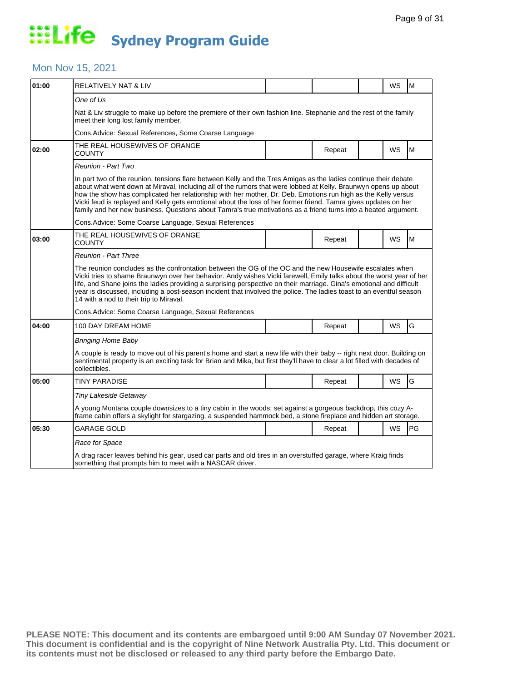#### Mon Nov 15, 2021

| 01:00 | RELATIVELY NAT & LIV                                                                                                                                                                                                                                                                                                                                                                                                                                                                                                                                                                       |  |        |  | WS | M  |  |  |  |
|-------|--------------------------------------------------------------------------------------------------------------------------------------------------------------------------------------------------------------------------------------------------------------------------------------------------------------------------------------------------------------------------------------------------------------------------------------------------------------------------------------------------------------------------------------------------------------------------------------------|--|--------|--|----|----|--|--|--|
|       | One of Us                                                                                                                                                                                                                                                                                                                                                                                                                                                                                                                                                                                  |  |        |  |    |    |  |  |  |
|       | Nat & Liv struggle to make up before the premiere of their own fashion line. Stephanie and the rest of the family<br>meet their long lost family member.                                                                                                                                                                                                                                                                                                                                                                                                                                   |  |        |  |    |    |  |  |  |
|       | Cons. Advice: Sexual References, Some Coarse Language                                                                                                                                                                                                                                                                                                                                                                                                                                                                                                                                      |  |        |  |    |    |  |  |  |
| 02:00 | THE REAL HOUSEWIVES OF ORANGE<br>COUNTY                                                                                                                                                                                                                                                                                                                                                                                                                                                                                                                                                    |  | Repeat |  | WS | M  |  |  |  |
|       | Reunion - Part Two                                                                                                                                                                                                                                                                                                                                                                                                                                                                                                                                                                         |  |        |  |    |    |  |  |  |
|       | In part two of the reunion, tensions flare between Kelly and the Tres Amigas as the ladies continue their debate<br>about what went down at Miraval, including all of the rumors that were lobbed at Kelly. Braunwyn opens up about<br>how the show has complicated her relationship with her mother, Dr. Deb. Emotions run high as the Kelly versus<br>Vicki feud is replayed and Kelly gets emotional about the loss of her former friend. Tamra gives updates on her<br>family and her new business. Questions about Tamra's true motivations as a friend turns into a heated argument. |  |        |  |    |    |  |  |  |
|       | Cons. Advice: Some Coarse Language, Sexual References                                                                                                                                                                                                                                                                                                                                                                                                                                                                                                                                      |  |        |  |    |    |  |  |  |
| 03:00 | THE REAL HOUSEWIVES OF ORANGE<br>COUNTY                                                                                                                                                                                                                                                                                                                                                                                                                                                                                                                                                    |  | Repeat |  | WS | M  |  |  |  |
|       | <b>Reunion - Part Three</b>                                                                                                                                                                                                                                                                                                                                                                                                                                                                                                                                                                |  |        |  |    |    |  |  |  |
|       | The reunion concludes as the confrontation between the OG of the OC and the new Housewife escalates when<br>Vicki tries to shame Braunwyn over her behavior. Andy wishes Vicki farewell, Emily talks about the worst year of her<br>life, and Shane joins the ladies providing a surprising perspective on their marriage. Gina's emotional and difficult<br>year is discussed, including a post-season incident that involved the police. The ladies toast to an eventful season<br>14 with a nod to their trip to Miraval.                                                               |  |        |  |    |    |  |  |  |
|       | Cons. Advice: Some Coarse Language, Sexual References                                                                                                                                                                                                                                                                                                                                                                                                                                                                                                                                      |  |        |  |    |    |  |  |  |
| 04:00 | 100 DAY DREAM HOME                                                                                                                                                                                                                                                                                                                                                                                                                                                                                                                                                                         |  | Repeat |  | WS | G  |  |  |  |
|       | <b>Bringing Home Baby</b>                                                                                                                                                                                                                                                                                                                                                                                                                                                                                                                                                                  |  |        |  |    |    |  |  |  |
|       | A couple is ready to move out of his parent's home and start a new life with their baby -- right next door. Building on<br>sentimental property is an exciting task for Brian and Mika, but first they'll have to clear a lot filled with decades of<br>collectibles.                                                                                                                                                                                                                                                                                                                      |  |        |  |    |    |  |  |  |
| 05:00 | <b>TINY PARADISE</b>                                                                                                                                                                                                                                                                                                                                                                                                                                                                                                                                                                       |  | Repeat |  | WS | G  |  |  |  |
|       | Tiny Lakeside Getaway                                                                                                                                                                                                                                                                                                                                                                                                                                                                                                                                                                      |  |        |  |    |    |  |  |  |
|       | A young Montana couple downsizes to a tiny cabin in the woods; set against a gorgeous backdrop, this cozy A-<br>frame cabin offers a skylight for stargazing, a suspended hammock bed, a stone fireplace and hidden art storage.                                                                                                                                                                                                                                                                                                                                                           |  |        |  |    |    |  |  |  |
| 05:30 | GARAGE GOLD                                                                                                                                                                                                                                                                                                                                                                                                                                                                                                                                                                                |  | Repeat |  | WS | PG |  |  |  |
|       | Race for Space                                                                                                                                                                                                                                                                                                                                                                                                                                                                                                                                                                             |  |        |  |    |    |  |  |  |
|       | A drag racer leaves behind his gear, used car parts and old tires in an overstuffed garage, where Kraig finds<br>something that prompts him to meet with a NASCAR driver.                                                                                                                                                                                                                                                                                                                                                                                                                  |  |        |  |    |    |  |  |  |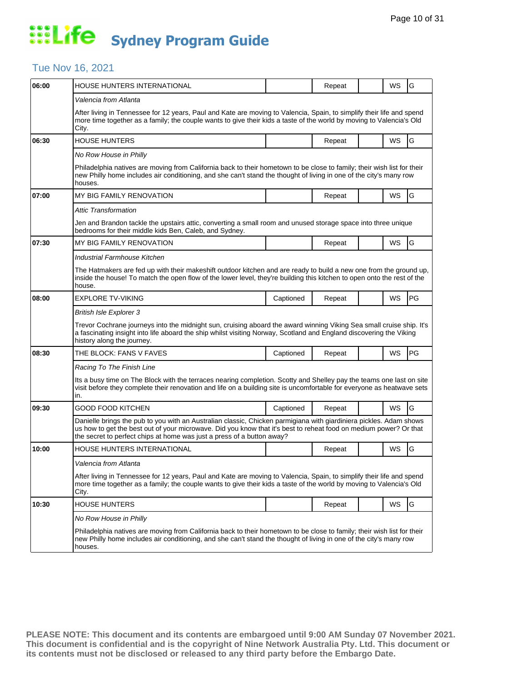### Tue Nov 16, 2021

| 06:00 | HOUSE HUNTERS INTERNATIONAL                                                                                                                                                                                                                                                                                       |           | Repeat |  | WS | G         |  |  |  |
|-------|-------------------------------------------------------------------------------------------------------------------------------------------------------------------------------------------------------------------------------------------------------------------------------------------------------------------|-----------|--------|--|----|-----------|--|--|--|
|       | Valencia from Atlanta                                                                                                                                                                                                                                                                                             |           |        |  |    |           |  |  |  |
|       | After living in Tennessee for 12 years, Paul and Kate are moving to Valencia, Spain, to simplify their life and spend<br>more time together as a family; the couple wants to give their kids a taste of the world by moving to Valencia's Old<br>City.                                                            |           |        |  |    |           |  |  |  |
| 06:30 | <b>HOUSE HUNTERS</b>                                                                                                                                                                                                                                                                                              |           | Repeat |  | WS | G         |  |  |  |
|       | No Row House in Philly                                                                                                                                                                                                                                                                                            |           |        |  |    |           |  |  |  |
|       | Philadelphia natives are moving from California back to their hometown to be close to family; their wish list for their<br>new Philly home includes air conditioning, and she can't stand the thought of living in one of the city's many row<br>houses.                                                          |           |        |  |    |           |  |  |  |
| 07:00 | <b>MY BIG FAMILY RENOVATION</b>                                                                                                                                                                                                                                                                                   |           | Repeat |  | WS | G         |  |  |  |
|       | Attic Transformation                                                                                                                                                                                                                                                                                              |           |        |  |    |           |  |  |  |
|       | Jen and Brandon tackle the upstairs attic, converting a small room and unused storage space into three unique<br>bedrooms for their middle kids Ben, Caleb, and Sydney.                                                                                                                                           |           |        |  |    |           |  |  |  |
| 07:30 | MY BIG FAMILY RENOVATION                                                                                                                                                                                                                                                                                          |           | Repeat |  | WS | G         |  |  |  |
|       | Industrial Farmhouse Kitchen                                                                                                                                                                                                                                                                                      |           |        |  |    |           |  |  |  |
|       | The Hatmakers are fed up with their makeshift outdoor kitchen and are ready to build a new one from the ground up,<br>inside the house! To match the open flow of the lower level, they're building this kitchen to open onto the rest of the<br>house.                                                           |           |        |  |    |           |  |  |  |
| 08:00 | <b>EXPLORE TV-VIKING</b>                                                                                                                                                                                                                                                                                          | Captioned | Repeat |  | WS | <b>PG</b> |  |  |  |
|       | <b>British Isle Explorer 3</b>                                                                                                                                                                                                                                                                                    |           |        |  |    |           |  |  |  |
|       | Trevor Cochrane journeys into the midnight sun, cruising aboard the award winning Viking Sea small cruise ship. It's<br>a fascinating insight into life aboard the ship whilst visiting Norway, Scotland and England discovering the Viking<br>history along the journey.                                         |           |        |  |    |           |  |  |  |
| 08:30 | THE BLOCK: FANS V FAVES                                                                                                                                                                                                                                                                                           | Captioned | Repeat |  | WS | <b>PG</b> |  |  |  |
|       | Racing To The Finish Line                                                                                                                                                                                                                                                                                         |           |        |  |    |           |  |  |  |
|       | Its a busy time on The Block with the terraces nearing completion. Scotty and Shelley pay the teams one last on site<br>visit before they complete their renovation and life on a building site is uncomfortable for everyone as heatwave sets<br>in.                                                             |           |        |  |    |           |  |  |  |
| 09:30 | GOOD FOOD KITCHEN                                                                                                                                                                                                                                                                                                 | Captioned | Repeat |  | WS | G         |  |  |  |
|       | Danielle brings the pub to you with an Australian classic, Chicken parmigiana with giardiniera pickles. Adam shows<br>us how to get the best out of your microwave. Did you know that it's best to reheat food on medium power? Or that<br>the secret to perfect chips at home was just a press of a button away? |           |        |  |    |           |  |  |  |
| 10:00 | HOUSE HUNTERS INTERNATIONAL                                                                                                                                                                                                                                                                                       |           | Repeat |  | WS | G         |  |  |  |
|       | Valencia from Atlanta                                                                                                                                                                                                                                                                                             |           |        |  |    |           |  |  |  |
|       | After living in Tennessee for 12 years, Paul and Kate are moving to Valencia, Spain, to simplify their life and spend<br>more time together as a family; the couple wants to give their kids a taste of the world by moving to Valencia's Old<br>City.                                                            |           |        |  |    |           |  |  |  |
| 10:30 | <b>HOUSE HUNTERS</b>                                                                                                                                                                                                                                                                                              |           | Repeat |  | WS | G         |  |  |  |
|       | No Row House in Philly                                                                                                                                                                                                                                                                                            |           |        |  |    |           |  |  |  |
|       | Philadelphia natives are moving from California back to their hometown to be close to family; their wish list for their<br>new Philly home includes air conditioning, and she can't stand the thought of living in one of the city's many row<br>houses.                                                          |           |        |  |    |           |  |  |  |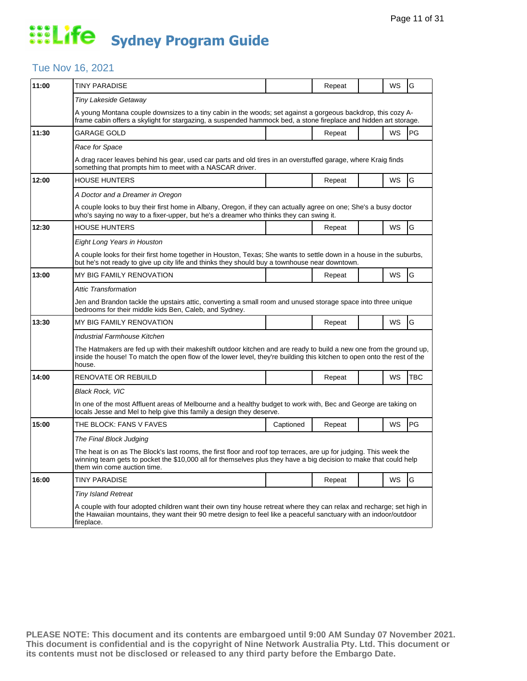### Tue Nov 16, 2021

| 11:00 | <b>TINY PARADISE</b>                                                                                                                                                                                                                                                   |           | Repeat |  | WS        | G          |  |  |
|-------|------------------------------------------------------------------------------------------------------------------------------------------------------------------------------------------------------------------------------------------------------------------------|-----------|--------|--|-----------|------------|--|--|
|       | Tiny Lakeside Getaway                                                                                                                                                                                                                                                  |           |        |  |           |            |  |  |
|       | A young Montana couple downsizes to a tiny cabin in the woods; set against a gorgeous backdrop, this cozy A-<br>frame cabin offers a skylight for stargazing, a suspended hammock bed, a stone fireplace and hidden art storage.                                       |           |        |  |           |            |  |  |
| 11:30 | GARAGE GOLD                                                                                                                                                                                                                                                            |           | Repeat |  | WS        | PG         |  |  |
|       | Race for Space                                                                                                                                                                                                                                                         |           |        |  |           |            |  |  |
|       | A drag racer leaves behind his gear, used car parts and old tires in an overstuffed garage, where Kraig finds<br>something that prompts him to meet with a NASCAR driver.                                                                                              |           |        |  |           |            |  |  |
| 12:00 | <b>HOUSE HUNTERS</b>                                                                                                                                                                                                                                                   |           | Repeat |  | WS        | G          |  |  |
|       | A Doctor and a Dreamer in Oregon                                                                                                                                                                                                                                       |           |        |  |           |            |  |  |
|       | A couple looks to buy their first home in Albany, Oregon, if they can actually agree on one; She's a busy doctor<br>who's saying no way to a fixer-upper, but he's a dreamer who thinks they can swing it.                                                             |           |        |  |           |            |  |  |
| 12:30 | <b>HOUSE HUNTERS</b>                                                                                                                                                                                                                                                   |           | Repeat |  | WS        | G          |  |  |
|       | Eight Long Years in Houston                                                                                                                                                                                                                                            |           |        |  |           |            |  |  |
|       | A couple looks for their first home together in Houston, Texas; She wants to settle down in a house in the suburbs,<br>but he's not ready to give up city life and thinks they should buy a townhouse near downtown.                                                   |           |        |  |           |            |  |  |
| 13:00 | MY BIG FAMILY RENOVATION                                                                                                                                                                                                                                               |           | Repeat |  | <b>WS</b> | G          |  |  |
|       | Attic Transformation                                                                                                                                                                                                                                                   |           |        |  |           |            |  |  |
|       | Jen and Brandon tackle the upstairs attic, converting a small room and unused storage space into three unique<br>bedrooms for their middle kids Ben, Caleb, and Sydney.                                                                                                |           |        |  |           |            |  |  |
| 13:30 | MY BIG FAMILY RENOVATION                                                                                                                                                                                                                                               |           | Repeat |  | <b>WS</b> | G          |  |  |
|       | Industrial Farmhouse Kitchen                                                                                                                                                                                                                                           |           |        |  |           |            |  |  |
|       | The Hatmakers are fed up with their makeshift outdoor kitchen and are ready to build a new one from the ground up,<br>inside the house! To match the open flow of the lower level, they're building this kitchen to open onto the rest of the<br>house.                |           |        |  |           |            |  |  |
| 14:00 | RENOVATE OR REBUILD                                                                                                                                                                                                                                                    |           | Repeat |  | WS        | <b>TBC</b> |  |  |
|       | <b>Black Rock, VIC</b>                                                                                                                                                                                                                                                 |           |        |  |           |            |  |  |
|       | In one of the most Affluent areas of Melbourne and a healthy budget to work with, Bec and George are taking on<br>locals Jesse and Mel to help give this family a design they deserve.                                                                                 |           |        |  |           |            |  |  |
| 15:00 | THE BLOCK: FANS V FAVES                                                                                                                                                                                                                                                | Captioned | Repeat |  | WS        | PG         |  |  |
|       | The Final Block Judging                                                                                                                                                                                                                                                |           |        |  |           |            |  |  |
|       | The heat is on as The Block's last rooms, the first floor and roof top terraces, are up for judging. This week the<br>winning team gets to pocket the \$10,000 all for themselves plus they have a big decision to make that could help<br>them win come auction time. |           |        |  |           |            |  |  |
| 16:00 | <b>TINY PARADISE</b>                                                                                                                                                                                                                                                   |           | Repeat |  | <b>WS</b> | G          |  |  |
|       | <b>Tiny Island Retreat</b>                                                                                                                                                                                                                                             |           |        |  |           |            |  |  |
|       | A couple with four adopted children want their own tiny house retreat where they can relax and recharge; set high in<br>the Hawaiian mountains, they want their 90 metre design to feel like a peaceful sanctuary with an indoor/outdoor<br>fireplace.                 |           |        |  |           |            |  |  |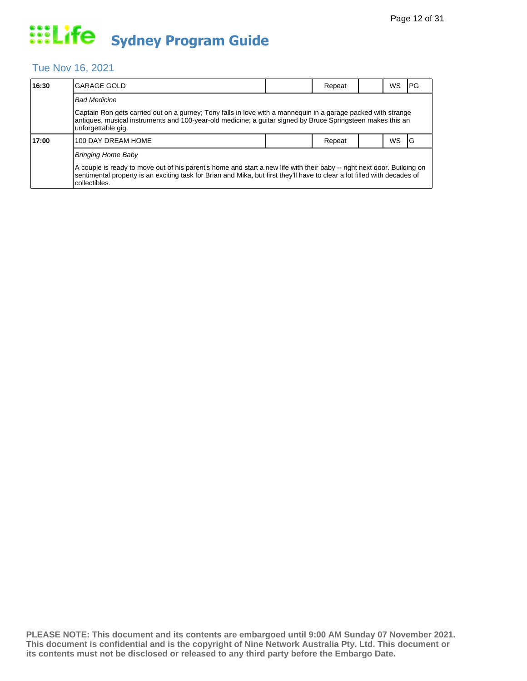### Tue Nov 16, 2021

| 16:30 | lGARAGE GOLD                                                                                                                                                                                                                                                          |  | Repeat |  | WS        | IPG |  |  |  |
|-------|-----------------------------------------------------------------------------------------------------------------------------------------------------------------------------------------------------------------------------------------------------------------------|--|--------|--|-----------|-----|--|--|--|
|       | <b>Bad Medicine</b>                                                                                                                                                                                                                                                   |  |        |  |           |     |  |  |  |
|       | Captain Ron gets carried out on a gurney; Tony falls in love with a mannequin in a garage packed with strange<br>antiques, musical instruments and 100-year-old medicine; a quitar signed by Bruce Springsteen makes this an<br>unforgettable gig.                    |  |        |  |           |     |  |  |  |
| 17:00 | 100 DAY DREAM HOME                                                                                                                                                                                                                                                    |  | Repeat |  | <b>WS</b> | IG  |  |  |  |
|       | <b>Bringing Home Baby</b>                                                                                                                                                                                                                                             |  |        |  |           |     |  |  |  |
|       | A couple is ready to move out of his parent's home and start a new life with their baby -- right next door. Building on<br>sentimental property is an exciting task for Brian and Mika, but first they'll have to clear a lot filled with decades of<br>collectibles. |  |        |  |           |     |  |  |  |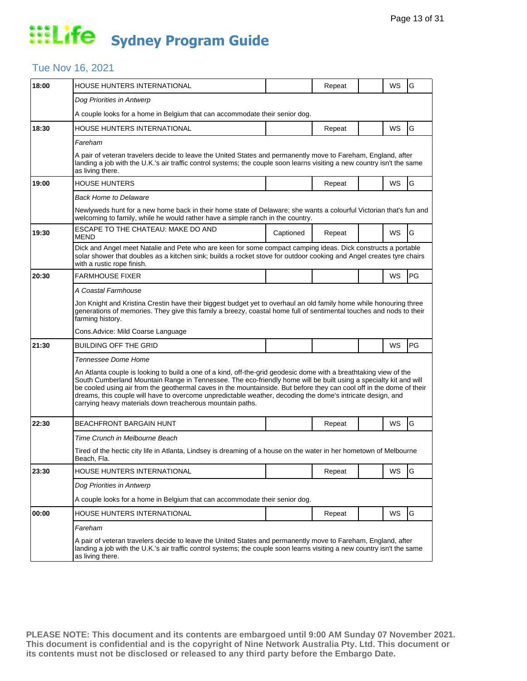### Tue Nov 16, 2021

| 18:00 | HOUSE HUNTERS INTERNATIONAL                                                                                                                                                                                                                                                                                                                                                                                                                                                                                                              |           | Repeat |  | WS        | G         |  |  |
|-------|------------------------------------------------------------------------------------------------------------------------------------------------------------------------------------------------------------------------------------------------------------------------------------------------------------------------------------------------------------------------------------------------------------------------------------------------------------------------------------------------------------------------------------------|-----------|--------|--|-----------|-----------|--|--|
|       | Dog Priorities in Antwerp                                                                                                                                                                                                                                                                                                                                                                                                                                                                                                                |           |        |  |           |           |  |  |
|       | A couple looks for a home in Belgium that can accommodate their senior dog.                                                                                                                                                                                                                                                                                                                                                                                                                                                              |           |        |  |           |           |  |  |
| 18:30 | HOUSE HUNTERS INTERNATIONAL                                                                                                                                                                                                                                                                                                                                                                                                                                                                                                              |           | Repeat |  | WS        | G         |  |  |
|       | Fareham                                                                                                                                                                                                                                                                                                                                                                                                                                                                                                                                  |           |        |  |           |           |  |  |
|       | A pair of veteran travelers decide to leave the United States and permanently move to Fareham, England, after<br>landing a job with the U.K.'s air traffic control systems; the couple soon learns visiting a new country isn't the same<br>as living there.                                                                                                                                                                                                                                                                             |           |        |  |           |           |  |  |
| 19:00 | <b>HOUSE HUNTERS</b>                                                                                                                                                                                                                                                                                                                                                                                                                                                                                                                     |           | Repeat |  | WS        | G         |  |  |
|       | <b>Back Home to Delaware</b>                                                                                                                                                                                                                                                                                                                                                                                                                                                                                                             |           |        |  |           |           |  |  |
|       | Newlyweds hunt for a new home back in their home state of Delaware; she wants a colourful Victorian that's fun and<br>welcoming to family, while he would rather have a simple ranch in the country.                                                                                                                                                                                                                                                                                                                                     |           |        |  |           |           |  |  |
| 19:30 | ESCAPE TO THE CHATEAU: MAKE DO AND<br>MEND                                                                                                                                                                                                                                                                                                                                                                                                                                                                                               | Captioned | Repeat |  | <b>WS</b> | G         |  |  |
|       | Dick and Angel meet Natalie and Pete who are keen for some compact camping ideas. Dick constructs a portable<br>solar shower that doubles as a kitchen sink; builds a rocket stove for outdoor cooking and Angel creates tyre chairs<br>with a rustic rope finish.                                                                                                                                                                                                                                                                       |           |        |  |           |           |  |  |
| 20:30 | <b>FARMHOUSE FIXER</b>                                                                                                                                                                                                                                                                                                                                                                                                                                                                                                                   |           |        |  | WS        | <b>PG</b> |  |  |
|       | A Coastal Farmhouse                                                                                                                                                                                                                                                                                                                                                                                                                                                                                                                      |           |        |  |           |           |  |  |
|       | Jon Knight and Kristina Crestin have their biggest budget yet to overhaul an old family home while honouring three<br>generations of memories. They give this family a breezy, coastal home full of sentimental touches and nods to their<br>farming history.                                                                                                                                                                                                                                                                            |           |        |  |           |           |  |  |
|       | Cons. Advice: Mild Coarse Language                                                                                                                                                                                                                                                                                                                                                                                                                                                                                                       |           |        |  |           |           |  |  |
| 21:30 | BUILDING OFF THE GRID                                                                                                                                                                                                                                                                                                                                                                                                                                                                                                                    |           |        |  | WS        | PG        |  |  |
|       | Tennessee Dome Home                                                                                                                                                                                                                                                                                                                                                                                                                                                                                                                      |           |        |  |           |           |  |  |
|       | An Atlanta couple is looking to build a one of a kind, off-the-grid geodesic dome with a breathtaking view of the<br>South Cumberland Mountain Range in Tennessee. The eco-friendly home will be built using a specialty kit and will<br>be cooled using air from the geothermal caves in the mountainside. But before they can cool off in the dome of their<br>dreams, this couple will have to overcome unpredictable weather, decoding the dome's intricate design, and<br>carrying heavy materials down treacherous mountain paths. |           |        |  |           |           |  |  |
| 22:30 | <b>BEACHFRONT BARGAIN HUNT</b>                                                                                                                                                                                                                                                                                                                                                                                                                                                                                                           |           | Repeat |  | <b>WS</b> | G         |  |  |
|       | Time Crunch in Melbourne Beach                                                                                                                                                                                                                                                                                                                                                                                                                                                                                                           |           |        |  |           |           |  |  |
|       | Tired of the hectic city life in Atlanta, Lindsey is dreaming of a house on the water in her hometown of Melbourne<br>Beach, Fla.                                                                                                                                                                                                                                                                                                                                                                                                        |           |        |  |           |           |  |  |
| 23:30 | HOUSE HUNTERS INTERNATIONAL                                                                                                                                                                                                                                                                                                                                                                                                                                                                                                              |           | Repeat |  | WS        | G         |  |  |
|       | Dog Priorities in Antwerp                                                                                                                                                                                                                                                                                                                                                                                                                                                                                                                |           |        |  |           |           |  |  |
|       | A couple looks for a home in Belgium that can accommodate their senior dog.                                                                                                                                                                                                                                                                                                                                                                                                                                                              |           |        |  |           |           |  |  |
| 00:00 | HOUSE HUNTERS INTERNATIONAL                                                                                                                                                                                                                                                                                                                                                                                                                                                                                                              |           | Repeat |  | <b>WS</b> | G         |  |  |
|       | Fareham                                                                                                                                                                                                                                                                                                                                                                                                                                                                                                                                  |           |        |  |           |           |  |  |
|       | A pair of veteran travelers decide to leave the United States and permanently move to Fareham, England, after<br>landing a job with the U.K.'s air traffic control systems; the couple soon learns visiting a new country isn't the same<br>as living there.                                                                                                                                                                                                                                                                             |           |        |  |           |           |  |  |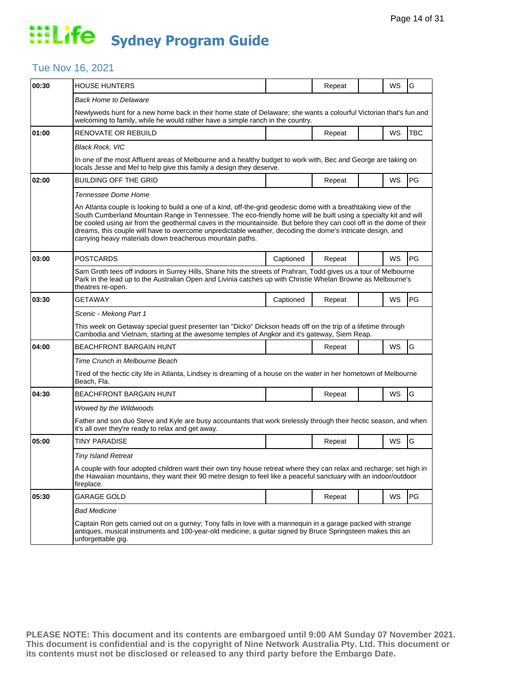### Tue Nov 16, 2021

| 00:30 | <b>HOUSE HUNTERS</b>                                                                                                                                                                                                                                                                                                                                                                                                                                                                                                                     |           | Repeat |  | WS | G          |  |  |  |
|-------|------------------------------------------------------------------------------------------------------------------------------------------------------------------------------------------------------------------------------------------------------------------------------------------------------------------------------------------------------------------------------------------------------------------------------------------------------------------------------------------------------------------------------------------|-----------|--------|--|----|------------|--|--|--|
|       | <b>Back Home to Delaware</b>                                                                                                                                                                                                                                                                                                                                                                                                                                                                                                             |           |        |  |    |            |  |  |  |
|       | Newlyweds hunt for a new home back in their home state of Delaware; she wants a colourful Victorian that's fun and<br>welcoming to family, while he would rather have a simple ranch in the country.                                                                                                                                                                                                                                                                                                                                     |           |        |  |    |            |  |  |  |
| 01:00 | RENOVATE OR REBUILD                                                                                                                                                                                                                                                                                                                                                                                                                                                                                                                      |           | Repeat |  | WS | <b>TBC</b> |  |  |  |
|       | <b>Black Rock, VIC</b>                                                                                                                                                                                                                                                                                                                                                                                                                                                                                                                   |           |        |  |    |            |  |  |  |
|       | In one of the most Affluent areas of Melbourne and a healthy budget to work with, Bec and George are taking on<br>locals Jesse and Mel to help give this family a design they deserve.                                                                                                                                                                                                                                                                                                                                                   |           |        |  |    |            |  |  |  |
| 02:00 | <b>BUILDING OFF THE GRID</b>                                                                                                                                                                                                                                                                                                                                                                                                                                                                                                             |           | Repeat |  | WS | PG         |  |  |  |
|       | Tennessee Dome Home                                                                                                                                                                                                                                                                                                                                                                                                                                                                                                                      |           |        |  |    |            |  |  |  |
|       | An Atlanta couple is looking to build a one of a kind, off-the-grid geodesic dome with a breathtaking view of the<br>South Cumberland Mountain Range in Tennessee. The eco-friendly home will be built using a specialty kit and will<br>be cooled using air from the geothermal caves in the mountainside. But before they can cool off in the dome of their<br>dreams, this couple will have to overcome unpredictable weather, decoding the dome's intricate design, and<br>carrying heavy materials down treacherous mountain paths. |           |        |  |    |            |  |  |  |
| 03:00 | <b>POSTCARDS</b>                                                                                                                                                                                                                                                                                                                                                                                                                                                                                                                         | Captioned | Repeat |  | WS | PG         |  |  |  |
|       | Sam Groth tees off indoors in Surrey Hills, Shane hits the streets of Prahran, Todd gives us a tour of Melbourne<br>Park in the lead up to the Australian Open and Livinia catches up with Christie Whelan Browne as Melbourne's<br>theatres re-open.                                                                                                                                                                                                                                                                                    |           |        |  |    |            |  |  |  |
| 03:30 | <b>GETAWAY</b>                                                                                                                                                                                                                                                                                                                                                                                                                                                                                                                           | Captioned | Repeat |  | WS | PG         |  |  |  |
|       | Scenic - Mekong Part 1                                                                                                                                                                                                                                                                                                                                                                                                                                                                                                                   |           |        |  |    |            |  |  |  |
|       | This week on Getaway special guest presenter Ian "Dicko" Dickson heads off on the trip of a lifetime through<br>Cambodia and Vietnam, starting at the awesome temples of Angkor and it's gateway, Siem Reap.                                                                                                                                                                                                                                                                                                                             |           |        |  |    |            |  |  |  |
| 04:00 | <b>BEACHFRONT BARGAIN HUNT</b>                                                                                                                                                                                                                                                                                                                                                                                                                                                                                                           |           | Repeat |  | WS | G          |  |  |  |
|       | Time Crunch in Melbourne Beach                                                                                                                                                                                                                                                                                                                                                                                                                                                                                                           |           |        |  |    |            |  |  |  |
|       | Tired of the hectic city life in Atlanta, Lindsey is dreaming of a house on the water in her hometown of Melbourne<br>Beach, Fla.                                                                                                                                                                                                                                                                                                                                                                                                        |           |        |  |    |            |  |  |  |
| 04:30 | <b>BEACHFRONT BARGAIN HUNT</b>                                                                                                                                                                                                                                                                                                                                                                                                                                                                                                           |           | Repeat |  | WS | G          |  |  |  |
|       | Wowed by the Wildwoods                                                                                                                                                                                                                                                                                                                                                                                                                                                                                                                   |           |        |  |    |            |  |  |  |
|       | Father and son duo Steve and Kyle are busy accountants that work tirelessly through their hectic season, and when<br>it's all over they're ready to relax and get away.                                                                                                                                                                                                                                                                                                                                                                  |           |        |  |    |            |  |  |  |
| 05:00 | <b>TINY PARADISE</b>                                                                                                                                                                                                                                                                                                                                                                                                                                                                                                                     |           | Repeat |  | WS | G          |  |  |  |
|       | <b>Tiny Island Retreat</b>                                                                                                                                                                                                                                                                                                                                                                                                                                                                                                               |           |        |  |    |            |  |  |  |
|       | A couple with four adopted children want their own tiny house retreat where they can relax and recharge; set high in<br>the Hawaiian mountains, they want their 90 metre design to feel like a peaceful sanctuary with an indoor/outdoor<br>fireplace.                                                                                                                                                                                                                                                                                   |           |        |  |    |            |  |  |  |
| 05:30 | <b>GARAGE GOLD</b>                                                                                                                                                                                                                                                                                                                                                                                                                                                                                                                       |           | Repeat |  | WS | PG         |  |  |  |
|       | <b>Bad Medicine</b>                                                                                                                                                                                                                                                                                                                                                                                                                                                                                                                      |           |        |  |    |            |  |  |  |
|       | Captain Ron gets carried out on a gurney; Tony falls in love with a mannequin in a garage packed with strange<br>antiques, musical instruments and 100-year-old medicine; a quitar signed by Bruce Springsteen makes this an<br>unforgettable gig.                                                                                                                                                                                                                                                                                       |           |        |  |    |            |  |  |  |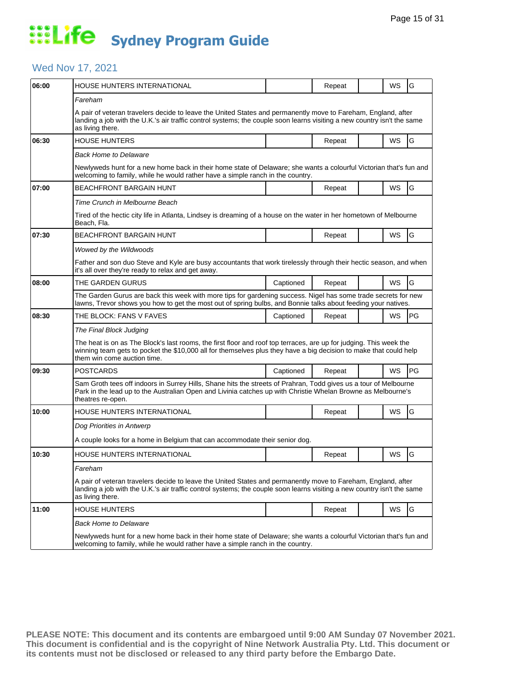### Wed Nov 17, 2021

| 06:00 | HOUSE HUNTERS INTERNATIONAL                                                                                                                                                                                                                                            |           | Repeat |  | WS | G  |  |  |
|-------|------------------------------------------------------------------------------------------------------------------------------------------------------------------------------------------------------------------------------------------------------------------------|-----------|--------|--|----|----|--|--|
|       | Fareham                                                                                                                                                                                                                                                                |           |        |  |    |    |  |  |
|       | A pair of veteran travelers decide to leave the United States and permanently move to Fareham, England, after<br>landing a job with the U.K.'s air traffic control systems; the couple soon learns visiting a new country isn't the same<br>as living there.           |           |        |  |    |    |  |  |
| 06:30 | <b>HOUSE HUNTERS</b>                                                                                                                                                                                                                                                   |           | Repeat |  | WS | G  |  |  |
|       | <b>Back Home to Delaware</b>                                                                                                                                                                                                                                           |           |        |  |    |    |  |  |
|       | Newlyweds hunt for a new home back in their home state of Delaware; she wants a colourful Victorian that's fun and<br>welcoming to family, while he would rather have a simple ranch in the country.                                                                   |           |        |  |    |    |  |  |
| 07:00 | <b>BEACHFRONT BARGAIN HUNT</b>                                                                                                                                                                                                                                         |           | Repeat |  | WS | G  |  |  |
|       | Time Crunch in Melbourne Beach                                                                                                                                                                                                                                         |           |        |  |    |    |  |  |
|       | Tired of the hectic city life in Atlanta, Lindsey is dreaming of a house on the water in her hometown of Melbourne<br>Beach, Fla.                                                                                                                                      |           |        |  |    |    |  |  |
| 07:30 | <b>BEACHFRONT BARGAIN HUNT</b>                                                                                                                                                                                                                                         |           | Repeat |  | WS | G  |  |  |
|       | Wowed by the Wildwoods                                                                                                                                                                                                                                                 |           |        |  |    |    |  |  |
|       | Father and son duo Steve and Kyle are busy accountants that work tirelessly through their hectic season, and when<br>it's all over they're ready to relax and get away.                                                                                                |           |        |  |    |    |  |  |
| 08:00 | THE GARDEN GURUS                                                                                                                                                                                                                                                       | Captioned | Repeat |  | WS | G  |  |  |
|       | The Garden Gurus are back this week with more tips for gardening success. Nigel has some trade secrets for new<br>lawns, Trevor shows you how to get the most out of spring bulbs, and Bonnie talks about feeding your natives.                                        |           |        |  |    |    |  |  |
| 08:30 | THE BLOCK: FANS V FAVES                                                                                                                                                                                                                                                | Captioned | Repeat |  | WS | PG |  |  |
|       | The Final Block Judging                                                                                                                                                                                                                                                |           |        |  |    |    |  |  |
|       | The heat is on as The Block's last rooms, the first floor and roof top terraces, are up for judging. This week the<br>winning team gets to pocket the \$10,000 all for themselves plus they have a big decision to make that could help<br>them win come auction time. |           |        |  |    |    |  |  |
| 09:30 | <b>POSTCARDS</b>                                                                                                                                                                                                                                                       | Captioned | Repeat |  | WS | PG |  |  |
|       | Sam Groth tees off indoors in Surrey Hills, Shane hits the streets of Prahran, Todd gives us a tour of Melbourne<br>Park in the lead up to the Australian Open and Livinia catches up with Christie Whelan Browne as Melbourne's<br>theatres re-open.                  |           |        |  |    |    |  |  |
| 10:00 | HOUSE HUNTERS INTERNATIONAL                                                                                                                                                                                                                                            |           | Repeat |  | WS | G  |  |  |
|       | Dog Priorities in Antwerp                                                                                                                                                                                                                                              |           |        |  |    |    |  |  |
|       | A couple looks for a home in Belgium that can accommodate their senior dog.                                                                                                                                                                                            |           |        |  |    |    |  |  |
| 10:30 | HOUSE HUNTERS INTERNATIONAL                                                                                                                                                                                                                                            |           | Repeat |  | WS | G  |  |  |
|       | Fareham                                                                                                                                                                                                                                                                |           |        |  |    |    |  |  |
|       | A pair of veteran travelers decide to leave the United States and permanently move to Fareham, England, after<br>landing a job with the U.K.'s air traffic control systems; the couple soon learns visiting a new country isn't the same<br>as living there.           |           |        |  |    |    |  |  |
| 11:00 | <b>HOUSE HUNTERS</b>                                                                                                                                                                                                                                                   |           | Repeat |  | WS | G  |  |  |
|       | <b>Back Home to Delaware</b>                                                                                                                                                                                                                                           |           |        |  |    |    |  |  |
|       | Newlyweds hunt for a new home back in their home state of Delaware; she wants a colourful Victorian that's fun and<br>welcoming to family, while he would rather have a simple ranch in the country.                                                                   |           |        |  |    |    |  |  |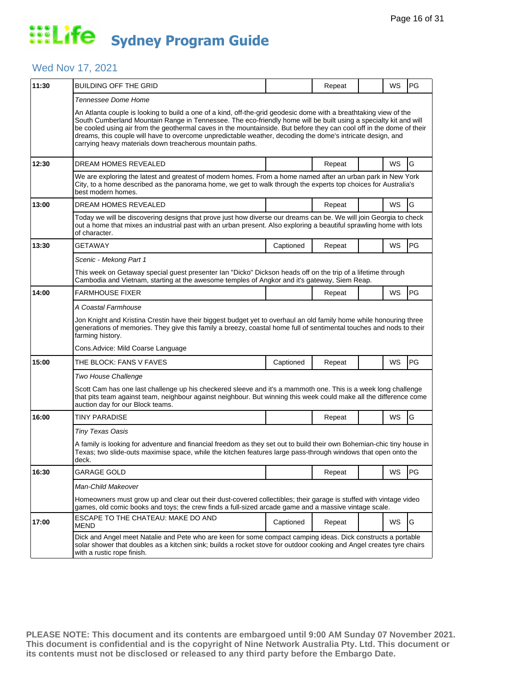### Wed Nov 17, 2021

| 11:30 | <b>BUILDING OFF THE GRID</b>                                                                                                                                                                                                                                                                                                                                                                                                                                                                                                             |                                                                                                                                                                                                                               | Repeat |  | WS | PG |  |  |  |
|-------|------------------------------------------------------------------------------------------------------------------------------------------------------------------------------------------------------------------------------------------------------------------------------------------------------------------------------------------------------------------------------------------------------------------------------------------------------------------------------------------------------------------------------------------|-------------------------------------------------------------------------------------------------------------------------------------------------------------------------------------------------------------------------------|--------|--|----|----|--|--|--|
|       | Tennessee Dome Home                                                                                                                                                                                                                                                                                                                                                                                                                                                                                                                      |                                                                                                                                                                                                                               |        |  |    |    |  |  |  |
|       | An Atlanta couple is looking to build a one of a kind, off-the-grid geodesic dome with a breathtaking view of the<br>South Cumberland Mountain Range in Tennessee. The eco-friendly home will be built using a specialty kit and will<br>be cooled using air from the geothermal caves in the mountainside. But before they can cool off in the dome of their<br>dreams, this couple will have to overcome unpredictable weather, decoding the dome's intricate design, and<br>carrying heavy materials down treacherous mountain paths. |                                                                                                                                                                                                                               |        |  |    |    |  |  |  |
| 12:30 | <b>DREAM HOMES REVEALED</b>                                                                                                                                                                                                                                                                                                                                                                                                                                                                                                              |                                                                                                                                                                                                                               | Repeat |  | WS | G  |  |  |  |
|       | best modern homes.                                                                                                                                                                                                                                                                                                                                                                                                                                                                                                                       | We are exploring the latest and greatest of modern homes. From a home named after an urban park in New York<br>City, to a home described as the panorama home, we get to walk through the experts top choices for Australia's |        |  |    |    |  |  |  |
| 13:00 | DREAM HOMES REVEALED                                                                                                                                                                                                                                                                                                                                                                                                                                                                                                                     |                                                                                                                                                                                                                               | Repeat |  | WS | G  |  |  |  |
|       | Today we will be discovering designs that prove just how diverse our dreams can be. We will join Georgia to check<br>out a home that mixes an industrial past with an urban present. Also exploring a beautiful sprawling home with lots<br>of character.                                                                                                                                                                                                                                                                                |                                                                                                                                                                                                                               |        |  |    |    |  |  |  |
| 13:30 | GETAWAY                                                                                                                                                                                                                                                                                                                                                                                                                                                                                                                                  | Captioned                                                                                                                                                                                                                     | Repeat |  | WS | PG |  |  |  |
|       | Scenic - Mekong Part 1                                                                                                                                                                                                                                                                                                                                                                                                                                                                                                                   |                                                                                                                                                                                                                               |        |  |    |    |  |  |  |
|       | This week on Getaway special guest presenter Ian "Dicko" Dickson heads off on the trip of a lifetime through<br>Cambodia and Vietnam, starting at the awesome temples of Angkor and it's gateway, Siem Reap.                                                                                                                                                                                                                                                                                                                             |                                                                                                                                                                                                                               |        |  |    |    |  |  |  |
| 14:00 | <b>FARMHOUSE FIXER</b>                                                                                                                                                                                                                                                                                                                                                                                                                                                                                                                   |                                                                                                                                                                                                                               | Repeat |  | WS | PG |  |  |  |
|       | A Coastal Farmhouse                                                                                                                                                                                                                                                                                                                                                                                                                                                                                                                      |                                                                                                                                                                                                                               |        |  |    |    |  |  |  |
|       | Jon Knight and Kristina Crestin have their biggest budget yet to overhaul an old family home while honouring three<br>generations of memories. They give this family a breezy, coastal home full of sentimental touches and nods to their<br>farming history.                                                                                                                                                                                                                                                                            |                                                                                                                                                                                                                               |        |  |    |    |  |  |  |
|       | Cons.Advice: Mild Coarse Language                                                                                                                                                                                                                                                                                                                                                                                                                                                                                                        |                                                                                                                                                                                                                               |        |  |    |    |  |  |  |
| 15:00 | THE BLOCK: FANS V FAVES                                                                                                                                                                                                                                                                                                                                                                                                                                                                                                                  | Captioned                                                                                                                                                                                                                     | Repeat |  |    |    |  |  |  |
|       |                                                                                                                                                                                                                                                                                                                                                                                                                                                                                                                                          |                                                                                                                                                                                                                               |        |  | WS | PG |  |  |  |
|       | Two House Challenge                                                                                                                                                                                                                                                                                                                                                                                                                                                                                                                      |                                                                                                                                                                                                                               |        |  |    |    |  |  |  |
|       | Scott Cam has one last challenge up his checkered sleeve and it's a mammoth one. This is a week long challenge<br>that pits team against team, neighbour against neighbour. But winning this week could make all the difference come<br>auction day for our Block teams.                                                                                                                                                                                                                                                                 |                                                                                                                                                                                                                               |        |  |    |    |  |  |  |
| 16:00 | TINY PARADISE                                                                                                                                                                                                                                                                                                                                                                                                                                                                                                                            |                                                                                                                                                                                                                               | Repeat |  | WS | G  |  |  |  |
|       | Tiny Texas Oasis                                                                                                                                                                                                                                                                                                                                                                                                                                                                                                                         |                                                                                                                                                                                                                               |        |  |    |    |  |  |  |
|       | A family is looking for adventure and financial freedom as they set out to build their own Bohemian-chic tiny house in<br>Texas; two slide-outs maximise space, while the kitchen features large pass-through windows that open onto the<br>deck.                                                                                                                                                                                                                                                                                        |                                                                                                                                                                                                                               |        |  |    |    |  |  |  |
| 16:30 | <b>GARAGE GOLD</b>                                                                                                                                                                                                                                                                                                                                                                                                                                                                                                                       |                                                                                                                                                                                                                               | Repeat |  | WS | PG |  |  |  |
|       | Man-Child Makeover                                                                                                                                                                                                                                                                                                                                                                                                                                                                                                                       |                                                                                                                                                                                                                               |        |  |    |    |  |  |  |
|       | Homeowners must grow up and clear out their dust-covered collectibles; their garage is stuffed with vintage video<br>games, old comic books and toys; the crew finds a full-sized arcade game and a massive vintage scale.                                                                                                                                                                                                                                                                                                               |                                                                                                                                                                                                                               |        |  |    |    |  |  |  |
| 17:00 | ESCAPE TO THE CHATEAU: MAKE DO AND<br><b>MEND</b>                                                                                                                                                                                                                                                                                                                                                                                                                                                                                        | Captioned                                                                                                                                                                                                                     | Repeat |  | WS | G  |  |  |  |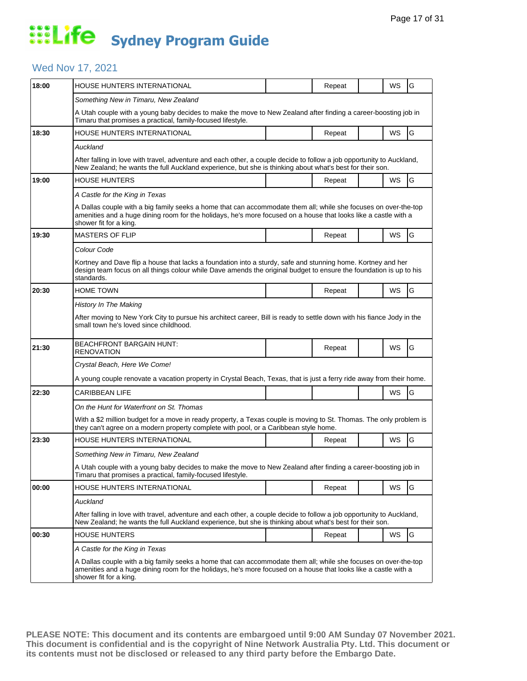### Wed Nov 17, 2021

| 18:00 | HOUSE HUNTERS INTERNATIONAL                                                                                                                                                                                                                                  |  | Repeat |  | WS        | G             |  |  |
|-------|--------------------------------------------------------------------------------------------------------------------------------------------------------------------------------------------------------------------------------------------------------------|--|--------|--|-----------|---------------|--|--|
|       | Something New in Timaru, New Zealand                                                                                                                                                                                                                         |  |        |  |           |               |  |  |
|       | A Utah couple with a young baby decides to make the move to New Zealand after finding a career-boosting job in<br>Timaru that promises a practical, family-focused lifestyle.                                                                                |  |        |  |           |               |  |  |
| 18:30 | HOUSE HUNTERS INTERNATIONAL                                                                                                                                                                                                                                  |  | Repeat |  | WS        | G             |  |  |
|       | Auckland                                                                                                                                                                                                                                                     |  |        |  |           |               |  |  |
|       | After falling in love with travel, adventure and each other, a couple decide to follow a job opportunity to Auckland,<br>New Zealand; he wants the full Auckland experience, but she is thinking about what's best for their son.                            |  |        |  |           |               |  |  |
| 19:00 | <b>HOUSE HUNTERS</b>                                                                                                                                                                                                                                         |  | Repeat |  | WS        | G             |  |  |
|       | A Castle for the King in Texas                                                                                                                                                                                                                               |  |        |  |           |               |  |  |
|       | A Dallas couple with a big family seeks a home that can accommodate them all; while she focuses on over-the-top<br>amenities and a huge dining room for the holidays, he's more focused on a house that looks like a castle with a<br>shower fit for a king. |  |        |  |           |               |  |  |
| 19:30 | <b>MASTERS OF FLIP</b>                                                                                                                                                                                                                                       |  | Repeat |  | WS        | G             |  |  |
|       | Colour Code                                                                                                                                                                                                                                                  |  |        |  |           |               |  |  |
|       | Kortney and Dave flip a house that lacks a foundation into a sturdy, safe and stunning home. Kortney and her<br>design team focus on all things colour while Dave amends the original budget to ensure the foundation is up to his<br>standards.             |  |        |  |           |               |  |  |
| 20:30 | <b>HOME TOWN</b>                                                                                                                                                                                                                                             |  | Repeat |  | <b>WS</b> | G             |  |  |
|       | <b>History In The Making</b>                                                                                                                                                                                                                                 |  |        |  |           |               |  |  |
|       | After moving to New York City to pursue his architect career, Bill is ready to settle down with his fiance Jody in the<br>small town he's loved since childhood.                                                                                             |  |        |  |           |               |  |  |
| 21:30 | <b>BEACHFRONT BARGAIN HUNT:</b><br><b>RENOVATION</b>                                                                                                                                                                                                         |  | Repeat |  | WS        | G             |  |  |
|       | Crystal Beach, Here We Come!                                                                                                                                                                                                                                 |  |        |  |           |               |  |  |
|       | A young couple renovate a vacation property in Crystal Beach, Texas, that is just a ferry ride away from their home.                                                                                                                                         |  |        |  |           |               |  |  |
| 22:30 | CARIBBEAN LIFE                                                                                                                                                                                                                                               |  |        |  | <b>WS</b> | G             |  |  |
|       | On the Hunt for Waterfront on St. Thomas                                                                                                                                                                                                                     |  |        |  |           |               |  |  |
|       | With a \$2 million budget for a move in ready property, a Texas couple is moving to St. Thomas. The only problem is<br>they can't agree on a modern property complete with pool, or a Caribbean style home.                                                  |  |        |  |           |               |  |  |
| 23:30 | <b>HOUSE HUNTERS INTERNATIONAL</b>                                                                                                                                                                                                                           |  | Repeat |  | WS        | G             |  |  |
|       | Something New in Timaru, New Zealand                                                                                                                                                                                                                         |  |        |  |           |               |  |  |
|       | A Utah couple with a young baby decides to make the move to New Zealand after finding a career-boosting job in<br>Timaru that promises a practical, family-focused lifestyle.                                                                                |  |        |  |           |               |  |  |
| 00:00 | <b>HOUSE HUNTERS INTERNATIONAL</b>                                                                                                                                                                                                                           |  | Repeat |  | WS        | G             |  |  |
|       | Auckland                                                                                                                                                                                                                                                     |  |        |  |           |               |  |  |
|       | After falling in love with travel, adventure and each other, a couple decide to follow a job opportunity to Auckland,<br>New Zealand; he wants the full Auckland experience, but she is thinking about what's best for their son.                            |  |        |  |           |               |  |  |
| 00:30 | <b>HOUSE HUNTERS</b>                                                                                                                                                                                                                                         |  | Repeat |  | WS        | ${\mathsf G}$ |  |  |
|       | A Castle for the King in Texas                                                                                                                                                                                                                               |  |        |  |           |               |  |  |
|       | A Dallas couple with a big family seeks a home that can accommodate them all; while she focuses on over-the-top<br>amenities and a huge dining room for the holidays, he's more focused on a house that looks like a castle with a<br>shower fit for a king. |  |        |  |           |               |  |  |
|       |                                                                                                                                                                                                                                                              |  |        |  |           |               |  |  |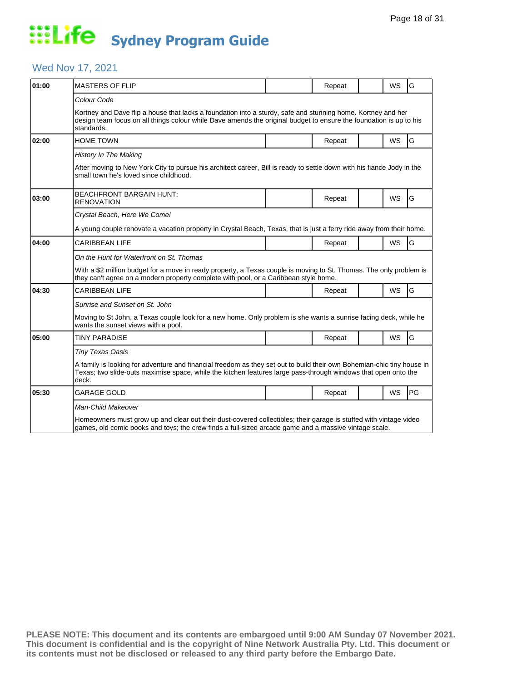### Wed Nov 17, 2021

| 01:00 | <b>MASTERS OF FLIP</b>                                                                                                                                                                                                                            |  | Repeat |  | <b>WS</b> | G  |  |  |  |
|-------|---------------------------------------------------------------------------------------------------------------------------------------------------------------------------------------------------------------------------------------------------|--|--------|--|-----------|----|--|--|--|
|       | Colour Code                                                                                                                                                                                                                                       |  |        |  |           |    |  |  |  |
|       | Kortney and Dave flip a house that lacks a foundation into a sturdy, safe and stunning home. Kortney and her<br>design team focus on all things colour while Dave amends the original budget to ensure the foundation is up to his<br>standards.  |  |        |  |           |    |  |  |  |
| 02:00 | HOME TOWN                                                                                                                                                                                                                                         |  | Repeat |  | <b>WS</b> | G  |  |  |  |
|       | <b>History In The Making</b>                                                                                                                                                                                                                      |  |        |  |           |    |  |  |  |
|       | After moving to New York City to pursue his architect career, Bill is ready to settle down with his fiance Jody in the<br>small town he's loved since childhood.                                                                                  |  |        |  |           |    |  |  |  |
| 03:00 | <b>BEACHFRONT BARGAIN HUNT:</b><br>RENOVATION                                                                                                                                                                                                     |  | Repeat |  | <b>WS</b> | G  |  |  |  |
|       | Crystal Beach, Here We Come!                                                                                                                                                                                                                      |  |        |  |           |    |  |  |  |
|       | A young couple renovate a vacation property in Crystal Beach, Texas, that is just a ferry ride away from their home.                                                                                                                              |  |        |  |           |    |  |  |  |
| 04:00 | <b>CARIBBEAN LIFE</b>                                                                                                                                                                                                                             |  | Repeat |  | <b>WS</b> | G  |  |  |  |
|       | On the Hunt for Waterfront on St. Thomas                                                                                                                                                                                                          |  |        |  |           |    |  |  |  |
|       | With a \$2 million budget for a move in ready property, a Texas couple is moving to St. Thomas. The only problem is<br>they can't agree on a modern property complete with pool, or a Caribbean style home.                                       |  |        |  |           |    |  |  |  |
| 04:30 | <b>CARIBBEAN LIFE</b>                                                                                                                                                                                                                             |  | Repeat |  | <b>WS</b> | G  |  |  |  |
|       | Sunrise and Sunset on St. John                                                                                                                                                                                                                    |  |        |  |           |    |  |  |  |
|       | Moving to St John, a Texas couple look for a new home. Only problem is she wants a sunrise facing deck, while he<br>wants the sunset views with a pool.                                                                                           |  |        |  |           |    |  |  |  |
| 05:00 | <b>TINY PARADISE</b>                                                                                                                                                                                                                              |  | Repeat |  | <b>WS</b> | G  |  |  |  |
|       | <b>Tiny Texas Oasis</b>                                                                                                                                                                                                                           |  |        |  |           |    |  |  |  |
|       | A family is looking for adventure and financial freedom as they set out to build their own Bohemian-chic tiny house in<br>Texas; two slide-outs maximise space, while the kitchen features large pass-through windows that open onto the<br>deck. |  |        |  |           |    |  |  |  |
| 05:30 | <b>GARAGE GOLD</b>                                                                                                                                                                                                                                |  | Repeat |  | <b>WS</b> | PG |  |  |  |
|       | Man-Child Makeover                                                                                                                                                                                                                                |  |        |  |           |    |  |  |  |
|       | Homeowners must grow up and clear out their dust-covered collectibles; their garage is stuffed with vintage video<br>games, old comic books and toys; the crew finds a full-sized arcade game and a massive vintage scale.                        |  |        |  |           |    |  |  |  |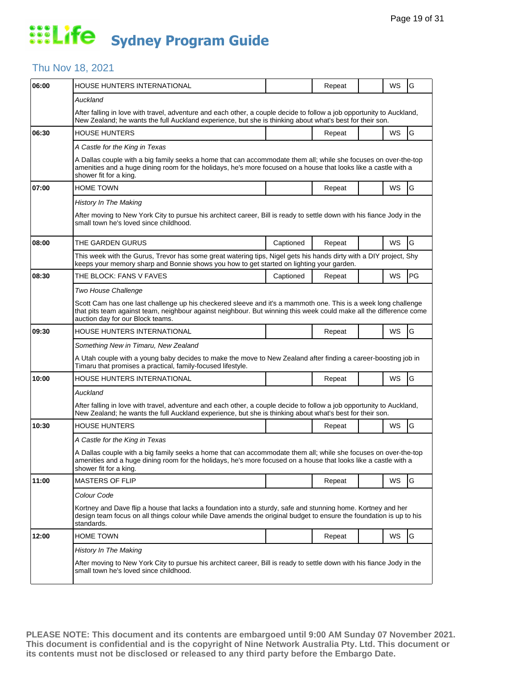#### Thu Nov 18, 2021

| 06:00 | HOUSE HUNTERS INTERNATIONAL                                                                                                                                                                                                                                              |           | Repeat |  | WS | G  |  |  |  |
|-------|--------------------------------------------------------------------------------------------------------------------------------------------------------------------------------------------------------------------------------------------------------------------------|-----------|--------|--|----|----|--|--|--|
|       | Auckland                                                                                                                                                                                                                                                                 |           |        |  |    |    |  |  |  |
|       | After falling in love with travel, adventure and each other, a couple decide to follow a job opportunity to Auckland,<br>New Zealand; he wants the full Auckland experience, but she is thinking about what's best for their son.                                        |           |        |  |    |    |  |  |  |
| 06:30 | <b>HOUSE HUNTERS</b>                                                                                                                                                                                                                                                     |           | Repeat |  | WS | G  |  |  |  |
|       | A Castle for the King in Texas                                                                                                                                                                                                                                           |           |        |  |    |    |  |  |  |
|       | A Dallas couple with a big family seeks a home that can accommodate them all; while she focuses on over-the-top<br>amenities and a huge dining room for the holidays, he's more focused on a house that looks like a castle with a<br>shower fit for a king.             |           |        |  |    |    |  |  |  |
| 07:00 | <b>HOME TOWN</b>                                                                                                                                                                                                                                                         |           | Repeat |  | WS | G  |  |  |  |
|       | <b>History In The Making</b>                                                                                                                                                                                                                                             |           |        |  |    |    |  |  |  |
|       | After moving to New York City to pursue his architect career, Bill is ready to settle down with his fiance Jody in the<br>small town he's loved since childhood.                                                                                                         |           |        |  |    |    |  |  |  |
| 08:00 | THE GARDEN GURUS                                                                                                                                                                                                                                                         | Captioned | Repeat |  | WS | G  |  |  |  |
|       | This week with the Gurus, Trevor has some great watering tips, Nigel gets his hands dirty with a DIY project, Shy<br>keeps your memory sharp and Bonnie shows you how to get started on lighting your garden.                                                            |           |        |  |    |    |  |  |  |
| 08:30 | THE BLOCK: FANS V FAVES                                                                                                                                                                                                                                                  | Captioned | Repeat |  | WS | PG |  |  |  |
|       | Two House Challenge                                                                                                                                                                                                                                                      |           |        |  |    |    |  |  |  |
|       | Scott Cam has one last challenge up his checkered sleeve and it's a mammoth one. This is a week long challenge<br>that pits team against team, neighbour against neighbour. But winning this week could make all the difference come<br>auction day for our Block teams. |           |        |  |    |    |  |  |  |
| 09:30 | HOUSE HUNTERS INTERNATIONAL                                                                                                                                                                                                                                              |           | Repeat |  | WS | G  |  |  |  |
|       | Something New in Timaru, New Zealand                                                                                                                                                                                                                                     |           |        |  |    |    |  |  |  |
|       | A Utah couple with a young baby decides to make the move to New Zealand after finding a career-boosting job in<br>Timaru that promises a practical, family-focused lifestyle.                                                                                            |           |        |  |    |    |  |  |  |
| 10:00 | HOUSE HUNTERS INTERNATIONAL                                                                                                                                                                                                                                              |           | Repeat |  | WS | G  |  |  |  |
|       | Auckland                                                                                                                                                                                                                                                                 |           |        |  |    |    |  |  |  |
|       | After falling in love with travel, adventure and each other, a couple decide to follow a job opportunity to Auckland,<br>New Zealand; he wants the full Auckland experience, but she is thinking about what's best for their son.                                        |           |        |  |    |    |  |  |  |
| 10:30 | <b>HOUSE HUNTERS</b>                                                                                                                                                                                                                                                     |           | Repeat |  | WS | G  |  |  |  |
|       | A Castle for the King in Texas                                                                                                                                                                                                                                           |           |        |  |    |    |  |  |  |
|       | A Dallas couple with a big family seeks a home that can accommodate them all; while she focuses on over-the-top<br>amenities and a huge dining room for the holidays, he's more focused on a house that looks like a castle with a<br>shower fit for a king.             |           |        |  |    |    |  |  |  |
| 11:00 | <b>MASTERS OF FLIP</b>                                                                                                                                                                                                                                                   |           | Repeat |  | WS | G  |  |  |  |
|       | Colour Code                                                                                                                                                                                                                                                              |           |        |  |    |    |  |  |  |
|       | Kortney and Dave flip a house that lacks a foundation into a sturdy, safe and stunning home. Kortney and her<br>design team focus on all things colour while Dave amends the original budget to ensure the foundation is up to his<br>standards.                         |           |        |  |    |    |  |  |  |
| 12:00 | Home Town                                                                                                                                                                                                                                                                |           | Repeat |  | WS | G  |  |  |  |
|       | <b>History In The Making</b>                                                                                                                                                                                                                                             |           |        |  |    |    |  |  |  |
|       | After moving to New York City to pursue his architect career, Bill is ready to settle down with his fiance Jody in the<br>small town he's loved since childhood.                                                                                                         |           |        |  |    |    |  |  |  |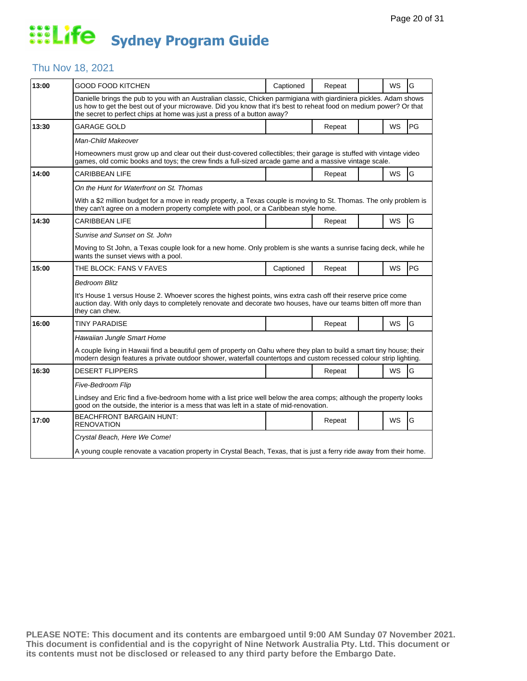#### Thu Nov 18, 2021

| 13:00 | GOOD FOOD KITCHEN                                                                                                                                                                                                                                                                                                 | Captioned | Repeat |  | <b>WS</b> | G  |  |
|-------|-------------------------------------------------------------------------------------------------------------------------------------------------------------------------------------------------------------------------------------------------------------------------------------------------------------------|-----------|--------|--|-----------|----|--|
|       | Danielle brings the pub to you with an Australian classic, Chicken parmigiana with giardiniera pickles. Adam shows<br>us how to get the best out of your microwave. Did you know that it's best to reheat food on medium power? Or that<br>the secret to perfect chips at home was just a press of a button away? |           |        |  |           |    |  |
| 13:30 | <b>GARAGE GOLD</b>                                                                                                                                                                                                                                                                                                |           | Repeat |  | <b>WS</b> | PG |  |
|       | Man-Child Makeover                                                                                                                                                                                                                                                                                                |           |        |  |           |    |  |
|       | Homeowners must grow up and clear out their dust-covered collectibles; their garage is stuffed with vintage video<br>games, old comic books and toys; the crew finds a full-sized arcade game and a massive vintage scale.                                                                                        |           |        |  |           |    |  |
| 14:00 | <b>CARIBBEAN LIFE</b>                                                                                                                                                                                                                                                                                             |           | Repeat |  | <b>WS</b> | G  |  |
|       | On the Hunt for Waterfront on St. Thomas                                                                                                                                                                                                                                                                          |           |        |  |           |    |  |
|       | With a \$2 million budget for a move in ready property, a Texas couple is moving to St. Thomas. The only problem is<br>they can't agree on a modern property complete with pool, or a Caribbean style home.                                                                                                       |           |        |  |           |    |  |
| 14:30 | CARIBBEAN LIFE                                                                                                                                                                                                                                                                                                    |           | Repeat |  | WS        | G  |  |
|       | Sunrise and Sunset on St. John                                                                                                                                                                                                                                                                                    |           |        |  |           |    |  |
|       | Moving to St John, a Texas couple look for a new home. Only problem is she wants a sunrise facing deck, while he<br>wants the sunset views with a pool.                                                                                                                                                           |           |        |  |           |    |  |
| 15:00 | THE BLOCK: FANS V FAVES                                                                                                                                                                                                                                                                                           | Captioned | Repeat |  | <b>WS</b> | PG |  |
|       | <b>Bedroom Blitz</b>                                                                                                                                                                                                                                                                                              |           |        |  |           |    |  |
|       | It's House 1 versus House 2. Whoever scores the highest points, wins extra cash off their reserve price come<br>auction day. With only days to completely renovate and decorate two houses, have our teams bitten off more than<br>they can chew.                                                                 |           |        |  |           |    |  |
| 16:00 | <b>TINY PARADISE</b>                                                                                                                                                                                                                                                                                              |           | Repeat |  | WS        | G  |  |
|       | Hawaiian Jungle Smart Home                                                                                                                                                                                                                                                                                        |           |        |  |           |    |  |
|       | A couple living in Hawaii find a beautiful gem of property on Oahu where they plan to build a smart tiny house; their<br>modern design features a private outdoor shower, waterfall countertops and custom recessed colour strip lighting.                                                                        |           |        |  |           |    |  |
| 16:30 | <b>DESERT FLIPPERS</b>                                                                                                                                                                                                                                                                                            |           | Repeat |  | WS        | G  |  |
|       | Five-Bedroom Flip                                                                                                                                                                                                                                                                                                 |           |        |  |           |    |  |
|       | Lindsey and Eric find a five-bedroom home with a list price well below the area comps; although the property looks<br>good on the outside, the interior is a mess that was left in a state of mid-renovation.                                                                                                     |           |        |  |           |    |  |
| 17:00 | <b>BEACHFRONT BARGAIN HUNT:</b><br>RENOVATION                                                                                                                                                                                                                                                                     |           | Repeat |  | WS        | G  |  |
|       | Crystal Beach, Here We Come!                                                                                                                                                                                                                                                                                      |           |        |  |           |    |  |
|       | A young couple renovate a vacation property in Crystal Beach, Texas, that is just a ferry ride away from their home.                                                                                                                                                                                              |           |        |  |           |    |  |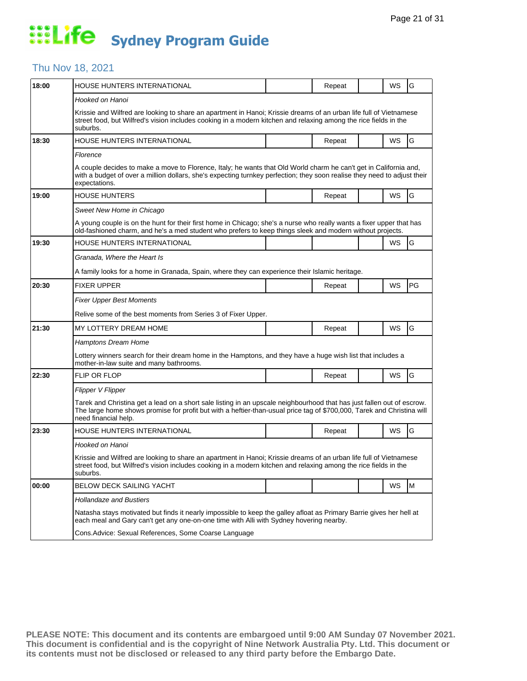### Thu Nov 18, 2021

| 18:00 | HOUSE HUNTERS INTERNATIONAL                                                                                                                                                                                                                                              |                                                                                                                                                                                                                 | Repeat |  | WS        | G         |  |  |  |
|-------|--------------------------------------------------------------------------------------------------------------------------------------------------------------------------------------------------------------------------------------------------------------------------|-----------------------------------------------------------------------------------------------------------------------------------------------------------------------------------------------------------------|--------|--|-----------|-----------|--|--|--|
|       | Hooked on Hanoi                                                                                                                                                                                                                                                          |                                                                                                                                                                                                                 |        |  |           |           |  |  |  |
|       | Krissie and Wilfred are looking to share an apartment in Hanoi; Krissie dreams of an urban life full of Vietnamese<br>street food, but Wilfred's vision includes cooking in a modern kitchen and relaxing among the rice fields in the<br>suburbs.                       |                                                                                                                                                                                                                 |        |  |           |           |  |  |  |
| 18:30 | HOUSE HUNTERS INTERNATIONAL                                                                                                                                                                                                                                              |                                                                                                                                                                                                                 | Repeat |  | WS        | G         |  |  |  |
|       | Florence                                                                                                                                                                                                                                                                 |                                                                                                                                                                                                                 |        |  |           |           |  |  |  |
|       | A couple decides to make a move to Florence, Italy; he wants that Old World charm he can't get in California and,<br>with a budget of over a million dollars, she's expecting turnkey perfection; they soon realise they need to adjust their<br>expectations.           |                                                                                                                                                                                                                 |        |  |           |           |  |  |  |
| 19:00 | <b>HOUSE HUNTERS</b>                                                                                                                                                                                                                                                     |                                                                                                                                                                                                                 | Repeat |  | WS        | G         |  |  |  |
|       | Sweet New Home in Chicago                                                                                                                                                                                                                                                |                                                                                                                                                                                                                 |        |  |           |           |  |  |  |
|       | A young couple is on the hunt for their first home in Chicago; she's a nurse who really wants a fixer upper that has<br>old-fashioned charm, and he's a med student who prefers to keep things sleek and modern without projects.                                        |                                                                                                                                                                                                                 |        |  |           |           |  |  |  |
| 19:30 | HOUSE HUNTERS INTERNATIONAL                                                                                                                                                                                                                                              |                                                                                                                                                                                                                 |        |  | <b>WS</b> | G         |  |  |  |
|       | Granada, Where the Heart Is                                                                                                                                                                                                                                              |                                                                                                                                                                                                                 |        |  |           |           |  |  |  |
|       | A family looks for a home in Granada, Spain, where they can experience their Islamic heritage.                                                                                                                                                                           |                                                                                                                                                                                                                 |        |  |           |           |  |  |  |
| 20:30 | <b>FIXER UPPER</b>                                                                                                                                                                                                                                                       |                                                                                                                                                                                                                 | Repeat |  | WS        | <b>PG</b> |  |  |  |
|       | <b>Fixer Upper Best Moments</b>                                                                                                                                                                                                                                          |                                                                                                                                                                                                                 |        |  |           |           |  |  |  |
|       | Relive some of the best moments from Series 3 of Fixer Upper.                                                                                                                                                                                                            |                                                                                                                                                                                                                 |        |  |           |           |  |  |  |
| 21:30 | MY LOTTERY DREAM HOME                                                                                                                                                                                                                                                    |                                                                                                                                                                                                                 | Repeat |  | WS        | G         |  |  |  |
|       | <b>Hamptons Dream Home</b>                                                                                                                                                                                                                                               |                                                                                                                                                                                                                 |        |  |           |           |  |  |  |
|       | Lottery winners search for their dream home in the Hamptons, and they have a huge wish list that includes a<br>mother-in-law suite and many bathrooms.                                                                                                                   |                                                                                                                                                                                                                 |        |  |           |           |  |  |  |
| 22:30 | <b>FLIP OR FLOP</b>                                                                                                                                                                                                                                                      |                                                                                                                                                                                                                 | Repeat |  | <b>WS</b> | G         |  |  |  |
|       | Flipper V Flipper                                                                                                                                                                                                                                                        |                                                                                                                                                                                                                 |        |  |           |           |  |  |  |
|       | Tarek and Christina get a lead on a short sale listing in an upscale neighbourhood that has just fallen out of escrow.<br>The large home shows promise for profit but with a heftier-than-usual price tag of \$700,000, Tarek and Christina will<br>need financial help. |                                                                                                                                                                                                                 |        |  |           |           |  |  |  |
| 23:30 | HOUSE HUNTERS INTERNATIONAL                                                                                                                                                                                                                                              |                                                                                                                                                                                                                 | Repeat |  | WS        | G         |  |  |  |
|       | Hooked on Hanoi                                                                                                                                                                                                                                                          |                                                                                                                                                                                                                 |        |  |           |           |  |  |  |
|       | Krissie and Wilfred are looking to share an apartment in Hanoi; Krissie dreams of an urban life full of Vietnamese<br>street food, but Wilfred's vision includes cooking in a modern kitchen and relaxing among the rice fields in the<br>suburbs.                       |                                                                                                                                                                                                                 |        |  |           |           |  |  |  |
| 00:00 | <b>BELOW DECK SAILING YACHT</b>                                                                                                                                                                                                                                          |                                                                                                                                                                                                                 |        |  | WS        | M         |  |  |  |
|       | <b>Hollandaze and Bustiers</b>                                                                                                                                                                                                                                           |                                                                                                                                                                                                                 |        |  |           |           |  |  |  |
|       |                                                                                                                                                                                                                                                                          | Natasha stays motivated but finds it nearly impossible to keep the galley afloat as Primary Barrie gives her hell at<br>each meal and Gary can't get any one-on-one time with Alli with Sydney hovering nearby. |        |  |           |           |  |  |  |
|       | Cons. Advice: Sexual References, Some Coarse Language                                                                                                                                                                                                                    |                                                                                                                                                                                                                 |        |  |           |           |  |  |  |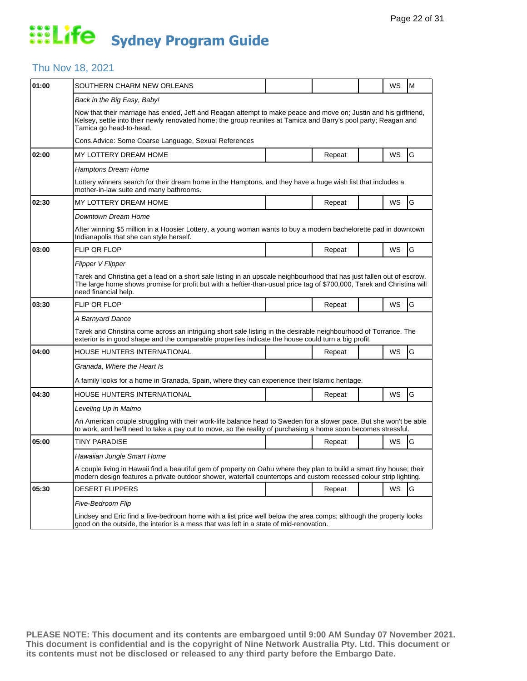#### Thu Nov 18, 2021

| 01:00 | SOUTHERN CHARM NEW ORLEANS                                                                                                                                                                                                                                               |  |        |  | WS        | M |  |  |  |
|-------|--------------------------------------------------------------------------------------------------------------------------------------------------------------------------------------------------------------------------------------------------------------------------|--|--------|--|-----------|---|--|--|--|
|       | Back in the Big Easy, Baby!                                                                                                                                                                                                                                              |  |        |  |           |   |  |  |  |
|       | Now that their marriage has ended, Jeff and Reagan attempt to make peace and move on; Justin and his girlfriend,<br>Kelsey, settle into their newly renovated home; the group reunites at Tamica and Barry's pool party; Reagan and<br>Tamica go head-to-head.           |  |        |  |           |   |  |  |  |
|       | Cons. Advice: Some Coarse Language, Sexual References                                                                                                                                                                                                                    |  |        |  |           |   |  |  |  |
| 02:00 | MY LOTTERY DREAM HOME                                                                                                                                                                                                                                                    |  | Repeat |  | WS        | G |  |  |  |
|       | <b>Hamptons Dream Home</b>                                                                                                                                                                                                                                               |  |        |  |           |   |  |  |  |
|       | Lottery winners search for their dream home in the Hamptons, and they have a huge wish list that includes a<br>mother-in-law suite and many bathrooms.                                                                                                                   |  |        |  |           |   |  |  |  |
| 02:30 | MY LOTTERY DREAM HOME                                                                                                                                                                                                                                                    |  | Repeat |  | WS        | G |  |  |  |
|       | Downtown Dream Home                                                                                                                                                                                                                                                      |  |        |  |           |   |  |  |  |
|       | After winning \$5 million in a Hoosier Lottery, a young woman wants to buy a modern bachelorette pad in downtown<br>Indianapolis that she can style herself.                                                                                                             |  |        |  |           |   |  |  |  |
| 03:00 | <b>FLIP OR FLOP</b>                                                                                                                                                                                                                                                      |  | Repeat |  | <b>WS</b> | G |  |  |  |
|       | Flipper V Flipper                                                                                                                                                                                                                                                        |  |        |  |           |   |  |  |  |
|       | Tarek and Christina get a lead on a short sale listing in an upscale neighbourhood that has just fallen out of escrow.<br>The large home shows promise for profit but with a heftier-than-usual price tag of \$700,000, Tarek and Christina will<br>need financial help. |  |        |  |           |   |  |  |  |
| 03:30 | <b>FLIP OR FLOP</b>                                                                                                                                                                                                                                                      |  | Repeat |  | WS        | G |  |  |  |
|       | A Barnyard Dance                                                                                                                                                                                                                                                         |  |        |  |           |   |  |  |  |
|       | Tarek and Christina come across an intriguing short sale listing in the desirable neighbourhood of Torrance. The<br>exterior is in good shape and the comparable properties indicate the house could turn a big profit.                                                  |  |        |  |           |   |  |  |  |
| 04:00 | HOUSE HUNTERS INTERNATIONAL                                                                                                                                                                                                                                              |  | Repeat |  | WS        | G |  |  |  |
|       | Granada, Where the Heart Is                                                                                                                                                                                                                                              |  |        |  |           |   |  |  |  |
|       | A family looks for a home in Granada, Spain, where they can experience their Islamic heritage.                                                                                                                                                                           |  |        |  |           |   |  |  |  |
| 04:30 | HOUSE HUNTERS INTERNATIONAL                                                                                                                                                                                                                                              |  | Repeat |  | <b>WS</b> | G |  |  |  |
|       | Leveling Up in Malmo                                                                                                                                                                                                                                                     |  |        |  |           |   |  |  |  |
|       | An American couple struggling with their work-life balance head to Sweden for a slower pace. But she won't be able<br>to work, and he'll need to take a pay cut to move, so the reality of purchasing a home soon becomes stressful.                                     |  |        |  |           |   |  |  |  |
| 05:00 | TINY PARADISE                                                                                                                                                                                                                                                            |  | Repeat |  | WS        | G |  |  |  |
|       | Hawaiian Jungle Smart Home                                                                                                                                                                                                                                               |  |        |  |           |   |  |  |  |
|       | A couple living in Hawaii find a beautiful gem of property on Oahu where they plan to build a smart tiny house; their<br>modern design features a private outdoor shower, waterfall countertops and custom recessed colour strip lighting.                               |  |        |  |           |   |  |  |  |
| 05:30 | <b>DESERT FLIPPERS</b>                                                                                                                                                                                                                                                   |  | Repeat |  | <b>WS</b> | G |  |  |  |
|       | Five-Bedroom Flip                                                                                                                                                                                                                                                        |  |        |  |           |   |  |  |  |
|       | Lindsey and Eric find a five-bedroom home with a list price well below the area comps; although the property looks<br>good on the outside, the interior is a mess that was left in a state of mid-renovation.                                                            |  |        |  |           |   |  |  |  |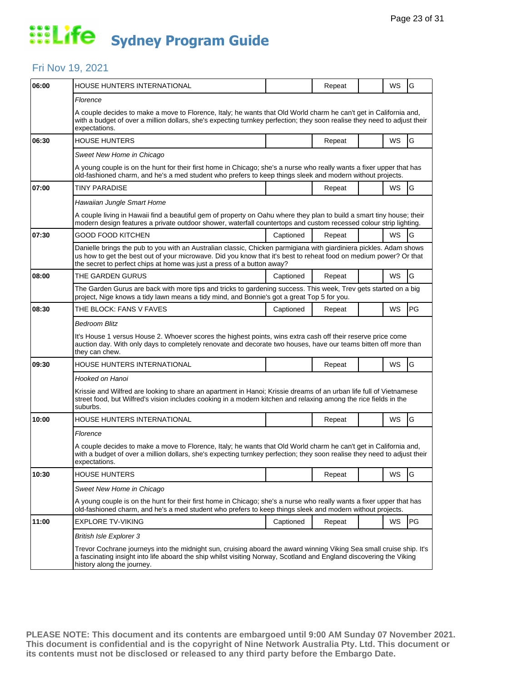#### Fri Nov 19, 2021

| 06:00 | HOUSE HUNTERS INTERNATIONAL                                                                                                                                                                                                                                                                                       |           | Repeat |  | WS        | G  |  |  |
|-------|-------------------------------------------------------------------------------------------------------------------------------------------------------------------------------------------------------------------------------------------------------------------------------------------------------------------|-----------|--------|--|-----------|----|--|--|
|       | Florence                                                                                                                                                                                                                                                                                                          |           |        |  |           |    |  |  |
|       | A couple decides to make a move to Florence, Italy; he wants that Old World charm he can't get in California and,<br>with a budget of over a million dollars, she's expecting turnkey perfection; they soon realise they need to adjust their<br>expectations.                                                    |           |        |  |           |    |  |  |
| 06:30 | <b>HOUSE HUNTERS</b>                                                                                                                                                                                                                                                                                              |           | Repeat |  | <b>WS</b> | G  |  |  |
|       | Sweet New Home in Chicago                                                                                                                                                                                                                                                                                         |           |        |  |           |    |  |  |
|       | A young couple is on the hunt for their first home in Chicago; she's a nurse who really wants a fixer upper that has<br>old-fashioned charm, and he's a med student who prefers to keep things sleek and modern without projects.                                                                                 |           |        |  |           |    |  |  |
| 07:00 | <b>TINY PARADISE</b>                                                                                                                                                                                                                                                                                              |           | Repeat |  | WS        | G  |  |  |
|       | Hawaiian Jungle Smart Home                                                                                                                                                                                                                                                                                        |           |        |  |           |    |  |  |
|       | A couple living in Hawaii find a beautiful gem of property on Oahu where they plan to build a smart tiny house; their<br>modern design features a private outdoor shower, waterfall countertops and custom recessed colour strip lighting.                                                                        |           |        |  |           |    |  |  |
| 07:30 | GOOD FOOD KITCHEN                                                                                                                                                                                                                                                                                                 | Captioned | Repeat |  | WS        | G  |  |  |
|       | Danielle brings the pub to you with an Australian classic, Chicken parmigiana with giardiniera pickles. Adam shows<br>us how to get the best out of your microwave. Did you know that it's best to reheat food on medium power? Or that<br>the secret to perfect chips at home was just a press of a button away? |           |        |  |           |    |  |  |
| 08:00 | THE GARDEN GURUS                                                                                                                                                                                                                                                                                                  | Captioned | Repeat |  | WS        | G  |  |  |
|       | The Garden Gurus are back with more tips and tricks to gardening success. This week, Trev gets started on a big<br>project, Nige knows a tidy lawn means a tidy mind, and Bonnie's got a great Top 5 for you.                                                                                                     |           |        |  |           |    |  |  |
| 08:30 | THE BLOCK: FANS V FAVES                                                                                                                                                                                                                                                                                           | Captioned | Repeat |  | WS        | PG |  |  |
|       | <b>Bedroom Blitz</b>                                                                                                                                                                                                                                                                                              |           |        |  |           |    |  |  |
|       | It's House 1 versus House 2. Whoever scores the highest points, wins extra cash off their reserve price come<br>auction day. With only days to completely renovate and decorate two houses, have our teams bitten off more than<br>they can chew.                                                                 |           |        |  |           |    |  |  |
| 09:30 | HOUSE HUNTERS INTERNATIONAL                                                                                                                                                                                                                                                                                       |           | Repeat |  | <b>WS</b> | G  |  |  |
|       | Hooked on Hanoi                                                                                                                                                                                                                                                                                                   |           |        |  |           |    |  |  |
|       | Krissie and Wilfred are looking to share an apartment in Hanoi; Krissie dreams of an urban life full of Vietnamese<br>street food, but Wilfred's vision includes cooking in a modern kitchen and relaxing among the rice fields in the<br>suburbs.                                                                |           |        |  |           |    |  |  |
| 10:00 | HOUSE HUNTERS INTERNATIONAL                                                                                                                                                                                                                                                                                       |           | Repeat |  | WS        | G  |  |  |
|       | Florence                                                                                                                                                                                                                                                                                                          |           |        |  |           |    |  |  |
|       | A couple decides to make a move to Florence, Italy; he wants that Old World charm he can't get in California and,<br>with a budget of over a million dollars, she's expecting turnkey perfection; they soon realise they need to adjust their<br>expectations.                                                    |           |        |  |           |    |  |  |
| 10:30 | <b>HOUSE HUNTERS</b>                                                                                                                                                                                                                                                                                              |           | Repeat |  | WS        | G  |  |  |
|       | Sweet New Home in Chicago                                                                                                                                                                                                                                                                                         |           |        |  |           |    |  |  |
|       | A young couple is on the hunt for their first home in Chicago; she's a nurse who really wants a fixer upper that has<br>old-fashioned charm, and he's a med student who prefers to keep things sleek and modern without projects.                                                                                 |           |        |  |           |    |  |  |
| 11:00 | <b>EXPLORE TV-VIKING</b>                                                                                                                                                                                                                                                                                          | Captioned | Repeat |  | <b>WS</b> | PG |  |  |
|       | <b>British Isle Explorer 3</b>                                                                                                                                                                                                                                                                                    |           |        |  |           |    |  |  |
|       | Trevor Cochrane journeys into the midnight sun, cruising aboard the award winning Viking Sea small cruise ship. It's<br>a fascinating insight into life aboard the ship whilst visiting Norway, Scotland and England discovering the Viking<br>history along the journey.                                         |           |        |  |           |    |  |  |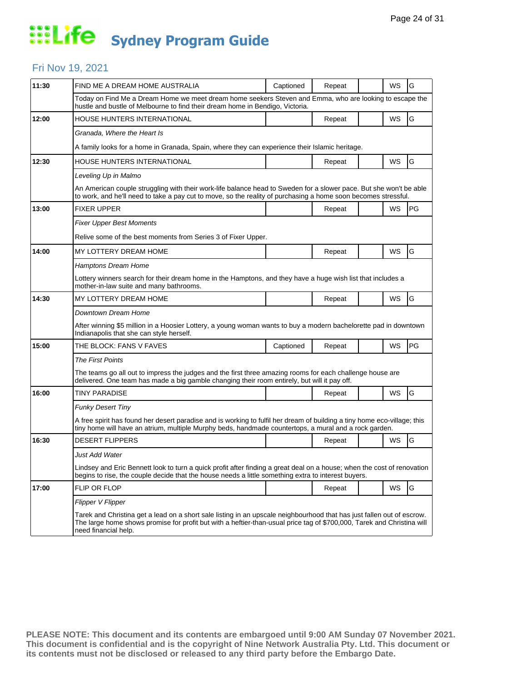#### Fri Nov 19, 2021

| 11:30 | FIND ME A DREAM HOME AUSTRALIA                                                                                                                                                                                                                                           | Captioned | Repeat |  | WS        | G  |  |  |  |
|-------|--------------------------------------------------------------------------------------------------------------------------------------------------------------------------------------------------------------------------------------------------------------------------|-----------|--------|--|-----------|----|--|--|--|
|       | Today on Find Me a Dream Home we meet dream home seekers Steven and Emma, who are looking to escape the<br>hustle and bustle of Melbourne to find their dream home in Bendigo, Victoria.                                                                                 |           |        |  |           |    |  |  |  |
| 12:00 | HOUSE HUNTERS INTERNATIONAL                                                                                                                                                                                                                                              |           | Repeat |  | WS        | G  |  |  |  |
|       | Granada, Where the Heart Is                                                                                                                                                                                                                                              |           |        |  |           |    |  |  |  |
|       | A family looks for a home in Granada, Spain, where they can experience their Islamic heritage.                                                                                                                                                                           |           |        |  |           |    |  |  |  |
| 12:30 | HOUSE HUNTERS INTERNATIONAL                                                                                                                                                                                                                                              |           | Repeat |  | WS        | G  |  |  |  |
|       | Leveling Up in Malmo                                                                                                                                                                                                                                                     |           |        |  |           |    |  |  |  |
|       | An American couple struggling with their work-life balance head to Sweden for a slower pace. But she won't be able<br>to work, and he'll need to take a pay cut to move, so the reality of purchasing a home soon becomes stressful.                                     |           |        |  |           |    |  |  |  |
| 13:00 | <b>FIXER UPPER</b>                                                                                                                                                                                                                                                       |           | Repeat |  | <b>WS</b> | PG |  |  |  |
|       | <b>Fixer Upper Best Moments</b>                                                                                                                                                                                                                                          |           |        |  |           |    |  |  |  |
|       | Relive some of the best moments from Series 3 of Fixer Upper.                                                                                                                                                                                                            |           |        |  |           |    |  |  |  |
| 14:00 | MY LOTTERY DREAM HOME                                                                                                                                                                                                                                                    |           | Repeat |  | WS        | G  |  |  |  |
|       | <b>Hamptons Dream Home</b>                                                                                                                                                                                                                                               |           |        |  |           |    |  |  |  |
|       | Lottery winners search for their dream home in the Hamptons, and they have a huge wish list that includes a<br>mother-in-law suite and many bathrooms.                                                                                                                   |           |        |  |           |    |  |  |  |
| 14:30 | MY LOTTERY DREAM HOME                                                                                                                                                                                                                                                    |           | Repeat |  | WS        | G  |  |  |  |
|       | Downtown Dream Home                                                                                                                                                                                                                                                      |           |        |  |           |    |  |  |  |
|       | After winning \$5 million in a Hoosier Lottery, a young woman wants to buy a modern bachelorette pad in downtown<br>Indianapolis that she can style herself.                                                                                                             |           |        |  |           |    |  |  |  |
| 15:00 | THE BLOCK: FANS V FAVES                                                                                                                                                                                                                                                  | Captioned | Repeat |  | WS        | PG |  |  |  |
|       | <b>The First Points</b>                                                                                                                                                                                                                                                  |           |        |  |           |    |  |  |  |
|       | The teams go all out to impress the judges and the first three amazing rooms for each challenge house are<br>delivered. One team has made a big gamble changing their room entirely, but will it pay off.                                                                |           |        |  |           |    |  |  |  |
| 16:00 | TINY PARADISE                                                                                                                                                                                                                                                            |           | Repeat |  | WS        | G  |  |  |  |
|       | <b>Funky Desert Tiny</b>                                                                                                                                                                                                                                                 |           |        |  |           |    |  |  |  |
|       | A free spirit has found her desert paradise and is working to fulfil her dream of building a tiny home eco-village; this<br>tiny home will have an atrium, multiple Murphy beds, handmade countertops, a mural and a rock garden.                                        |           |        |  |           |    |  |  |  |
| 16:30 | <b>DESERT FLIPPERS</b>                                                                                                                                                                                                                                                   |           | Repeat |  | WS        | G  |  |  |  |
|       | Just Add Water                                                                                                                                                                                                                                                           |           |        |  |           |    |  |  |  |
|       | Lindsey and Eric Bennett look to turn a quick profit after finding a great deal on a house; when the cost of renovation<br>begins to rise, the couple decide that the house needs a little something extra to interest buyers.                                           |           |        |  |           |    |  |  |  |
| 17:00 | FLIP OR FLOP                                                                                                                                                                                                                                                             |           | Repeat |  | WS        | G  |  |  |  |
|       | Flipper V Flipper                                                                                                                                                                                                                                                        |           |        |  |           |    |  |  |  |
|       | Tarek and Christina get a lead on a short sale listing in an upscale neighbourhood that has just fallen out of escrow.<br>The large home shows promise for profit but with a heftier-than-usual price tag of \$700,000, Tarek and Christina will<br>need financial help. |           |        |  |           |    |  |  |  |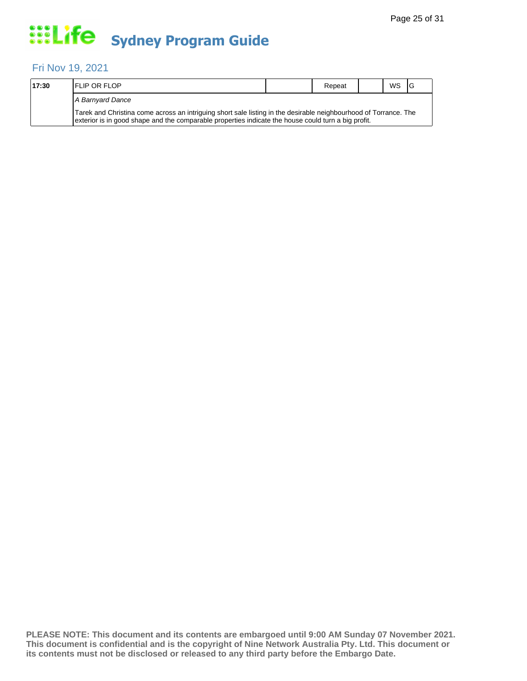#### Fri Nov 19, 2021

| 17:30 | <b>IFLIP OR FLOP</b>                                                                                                                                                                                                    | Repeat | <b>WS</b> | 1G |
|-------|-------------------------------------------------------------------------------------------------------------------------------------------------------------------------------------------------------------------------|--------|-----------|----|
|       | A Barnvard Dance                                                                                                                                                                                                        |        |           |    |
|       | Tarek and Christina come across an intriguing short sale listing in the desirable neighbourhood of Torrance. The<br>exterior is in good shape and the comparable properties indicate the house could turn a big profit. |        |           |    |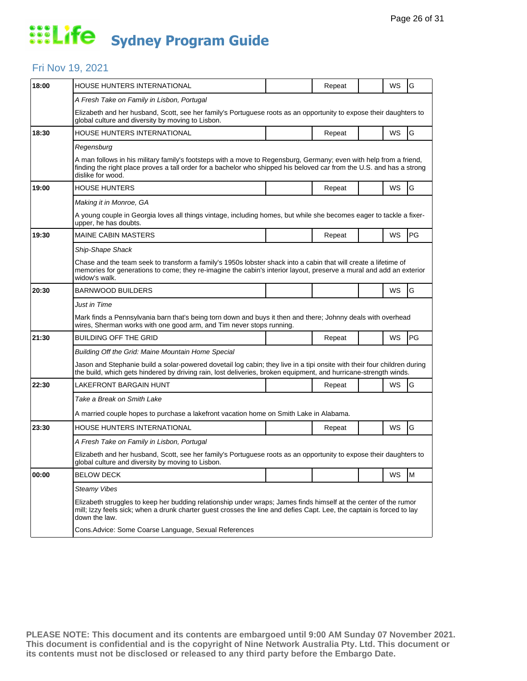#### Fri Nov 19, 2021

| 18:00 | <b>HOUSE HUNTERS INTERNATIONAL</b>                                                                                                                                                                                                                               |  | Repeat |  | WS        | G  |  |  |
|-------|------------------------------------------------------------------------------------------------------------------------------------------------------------------------------------------------------------------------------------------------------------------|--|--------|--|-----------|----|--|--|
|       | A Fresh Take on Family in Lisbon, Portugal                                                                                                                                                                                                                       |  |        |  |           |    |  |  |
|       | Elizabeth and her husband, Scott, see her family's Portuguese roots as an opportunity to expose their daughters to<br>global culture and diversity by moving to Lisbon.                                                                                          |  |        |  |           |    |  |  |
| 18:30 | HOUSE HUNTERS INTERNATIONAL                                                                                                                                                                                                                                      |  | Repeat |  | WS        | G  |  |  |
|       | Regensburg                                                                                                                                                                                                                                                       |  |        |  |           |    |  |  |
|       | A man follows in his military family's footsteps with a move to Regensburg, Germany; even with help from a friend,<br>finding the right place proves a tall order for a bachelor who shipped his beloved car from the U.S. and has a strong<br>dislike for wood. |  |        |  |           |    |  |  |
| 19:00 | <b>HOUSE HUNTERS</b>                                                                                                                                                                                                                                             |  | Repeat |  | WS        | G  |  |  |
|       | Making it in Monroe, GA                                                                                                                                                                                                                                          |  |        |  |           |    |  |  |
|       | A young couple in Georgia loves all things vintage, including homes, but while she becomes eager to tackle a fixer-<br>upper, he has doubts.                                                                                                                     |  |        |  |           |    |  |  |
| 19:30 | <b>MAINE CABIN MASTERS</b>                                                                                                                                                                                                                                       |  | Repeat |  | WS        | PG |  |  |
|       | Ship-Shape Shack                                                                                                                                                                                                                                                 |  |        |  |           |    |  |  |
|       | Chase and the team seek to transform a family's 1950s lobster shack into a cabin that will create a lifetime of<br>memories for generations to come; they re-imagine the cabin's interior layout, preserve a mural and add an exterior<br>widow's walk.          |  |        |  |           |    |  |  |
| 20:30 | <b>BARNWOOD BUILDERS</b>                                                                                                                                                                                                                                         |  |        |  | <b>WS</b> | G  |  |  |
|       | Just in Time                                                                                                                                                                                                                                                     |  |        |  |           |    |  |  |
|       | Mark finds a Pennsylvania barn that's being torn down and buys it then and there; Johnny deals with overhead<br>wires, Sherman works with one good arm, and Tim never stops running.                                                                             |  |        |  |           |    |  |  |
| 21:30 | <b>BUILDING OFF THE GRID</b>                                                                                                                                                                                                                                     |  | Repeat |  | WS        | PG |  |  |
|       | Building Off the Grid: Maine Mountain Home Special                                                                                                                                                                                                               |  |        |  |           |    |  |  |
|       | Jason and Stephanie build a solar-powered dovetail log cabin; they live in a tipi onsite with their four children during<br>the build, which gets hindered by driving rain, lost deliveries, broken equipment, and hurricane-strength winds.                     |  |        |  |           |    |  |  |
| 22:30 | LAKEFRONT BARGAIN HUNT                                                                                                                                                                                                                                           |  | Repeat |  | WS        | G  |  |  |
|       | Take a Break on Smith Lake                                                                                                                                                                                                                                       |  |        |  |           |    |  |  |
|       | A married couple hopes to purchase a lakefront vacation home on Smith Lake in Alabama.                                                                                                                                                                           |  |        |  |           |    |  |  |
| 23:30 | HOUSE HUNTERS INTERNATIONAL                                                                                                                                                                                                                                      |  | Repeat |  | WS        | G  |  |  |
|       | A Fresh Take on Family in Lisbon, Portugal                                                                                                                                                                                                                       |  |        |  |           |    |  |  |
|       | Elizabeth and her husband, Scott, see her family's Portuguese roots as an opportunity to expose their daughters to<br>global culture and diversity by moving to Lisbon.                                                                                          |  |        |  |           |    |  |  |
| 00:00 | <b>BELOW DECK</b>                                                                                                                                                                                                                                                |  |        |  | WS        | M  |  |  |
|       | <b>Steamy Vibes</b>                                                                                                                                                                                                                                              |  |        |  |           |    |  |  |
|       | Elizabeth struggles to keep her budding relationship under wraps; James finds himself at the center of the rumor<br>mill; Izzy feels sick; when a drunk charter quest crosses the line and defies Capt. Lee, the captain is forced to lay<br>down the law.       |  |        |  |           |    |  |  |
|       | Cons. Advice: Some Coarse Language, Sexual References                                                                                                                                                                                                            |  |        |  |           |    |  |  |
|       |                                                                                                                                                                                                                                                                  |  |        |  |           |    |  |  |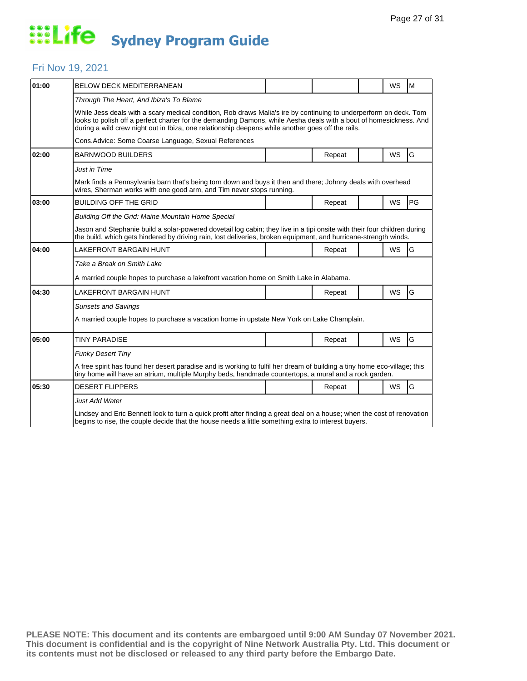### Fri Nov 19, 2021

| 01:00 | <b>BELOW DECK MEDITERRANEAN</b>                                                                                                                                                                                                                                                                                                              |  |        |  | <b>WS</b> | M  |  |  |
|-------|----------------------------------------------------------------------------------------------------------------------------------------------------------------------------------------------------------------------------------------------------------------------------------------------------------------------------------------------|--|--------|--|-----------|----|--|--|
|       | Through The Heart, And Ibiza's To Blame                                                                                                                                                                                                                                                                                                      |  |        |  |           |    |  |  |
|       | While Jess deals with a scary medical condition, Rob draws Malia's ire by continuing to underperform on deck. Tom<br>looks to polish off a perfect charter for the demanding Damons, while Aesha deals with a bout of homesickness. And<br>during a wild crew night out in Ibiza, one relationship deepens while another goes off the rails. |  |        |  |           |    |  |  |
|       | Cons.Advice: Some Coarse Language, Sexual References                                                                                                                                                                                                                                                                                         |  |        |  |           |    |  |  |
| 02:00 | <b>BARNWOOD BUILDERS</b>                                                                                                                                                                                                                                                                                                                     |  | Repeat |  | <b>WS</b> | G  |  |  |
|       | <b>Just in Time</b>                                                                                                                                                                                                                                                                                                                          |  |        |  |           |    |  |  |
|       | Mark finds a Pennsylvania barn that's being torn down and buys it then and there; Johnny deals with overhead<br>wires, Sherman works with one good arm, and Tim never stops running.                                                                                                                                                         |  |        |  |           |    |  |  |
| 03:00 | <b>BUILDING OFF THE GRID</b>                                                                                                                                                                                                                                                                                                                 |  | Repeat |  | <b>WS</b> | PG |  |  |
|       | Building Off the Grid: Maine Mountain Home Special                                                                                                                                                                                                                                                                                           |  |        |  |           |    |  |  |
|       | Jason and Stephanie build a solar-powered dovetail log cabin; they live in a tipi onsite with their four children during<br>the build, which gets hindered by driving rain, lost deliveries, broken equipment, and hurricane-strength winds.                                                                                                 |  |        |  |           |    |  |  |
| 04:00 | LAKEFRONT BARGAIN HUNT                                                                                                                                                                                                                                                                                                                       |  | Repeat |  | <b>WS</b> | G  |  |  |
|       | Take a Break on Smith Lake                                                                                                                                                                                                                                                                                                                   |  |        |  |           |    |  |  |
|       | A married couple hopes to purchase a lakefront vacation home on Smith Lake in Alabama.                                                                                                                                                                                                                                                       |  |        |  |           |    |  |  |
| 04:30 | LAKEFRONT BARGAIN HUNT                                                                                                                                                                                                                                                                                                                       |  | Repeat |  | <b>WS</b> | G  |  |  |
|       | <b>Sunsets and Savings</b>                                                                                                                                                                                                                                                                                                                   |  |        |  |           |    |  |  |
|       | A married couple hopes to purchase a vacation home in upstate New York on Lake Champlain.                                                                                                                                                                                                                                                    |  |        |  |           |    |  |  |
| 05:00 | <b>TINY PARADISE</b>                                                                                                                                                                                                                                                                                                                         |  | Repeat |  | <b>WS</b> | G  |  |  |
|       | <b>Funky Desert Tiny</b>                                                                                                                                                                                                                                                                                                                     |  |        |  |           |    |  |  |
|       | A free spirit has found her desert paradise and is working to fulfil her dream of building a tiny home eco-village; this<br>tiny home will have an atrium, multiple Murphy beds, handmade countertops, a mural and a rock garden.                                                                                                            |  |        |  |           |    |  |  |
| 05:30 | <b>DESERT FLIPPERS</b>                                                                                                                                                                                                                                                                                                                       |  | Repeat |  | <b>WS</b> | G  |  |  |
|       | Just Add Water                                                                                                                                                                                                                                                                                                                               |  |        |  |           |    |  |  |
|       | Lindsey and Eric Bennett look to turn a quick profit after finding a great deal on a house; when the cost of renovation<br>begins to rise, the couple decide that the house needs a little something extra to interest buyers.                                                                                                               |  |        |  |           |    |  |  |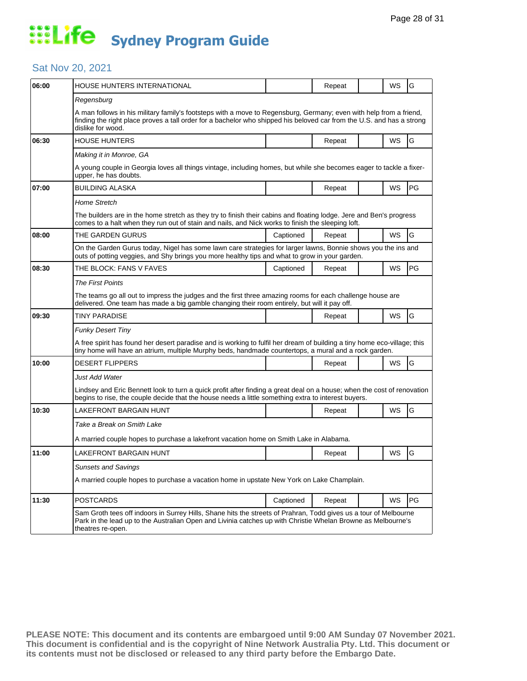#### Sat Nov 20, 2021

| 06:00 | HOUSE HUNTERS INTERNATIONAL                                                                                                                                                                                                                                      |           | Repeat |  | WS | G  |  |
|-------|------------------------------------------------------------------------------------------------------------------------------------------------------------------------------------------------------------------------------------------------------------------|-----------|--------|--|----|----|--|
|       | Regensburg                                                                                                                                                                                                                                                       |           |        |  |    |    |  |
|       | A man follows in his military family's footsteps with a move to Regensburg, Germany; even with help from a friend,<br>finding the right place proves a tall order for a bachelor who shipped his beloved car from the U.S. and has a strong<br>dislike for wood. |           |        |  |    |    |  |
| 06:30 | <b>HOUSE HUNTERS</b>                                                                                                                                                                                                                                             |           | Repeat |  | WS | G  |  |
|       | Making it in Monroe, GA                                                                                                                                                                                                                                          |           |        |  |    |    |  |
|       | A young couple in Georgia loves all things vintage, including homes, but while she becomes eager to tackle a fixer-<br>upper, he has doubts.                                                                                                                     |           |        |  |    |    |  |
| 07:00 | <b>BUILDING ALASKA</b>                                                                                                                                                                                                                                           |           | Repeat |  | WS | PG |  |
|       | <b>Home Stretch</b>                                                                                                                                                                                                                                              |           |        |  |    |    |  |
|       | The builders are in the home stretch as they try to finish their cabins and floating lodge. Jere and Ben's progress<br>comes to a halt when they run out of stain and nails, and Nick works to finish the sleeping loft.                                         |           |        |  |    |    |  |
| 08:00 | THE GARDEN GURUS                                                                                                                                                                                                                                                 | Captioned | Repeat |  | WS | G  |  |
|       | On the Garden Gurus today, Nigel has some lawn care strategies for larger lawns, Bonnie shows you the ins and<br>outs of potting veggies, and Shy brings you more healthy tips and what to grow in your garden.                                                  |           |        |  |    |    |  |
| 08:30 | THE BLOCK: FANS V FAVES                                                                                                                                                                                                                                          | Captioned | Repeat |  | WS | PG |  |
|       | <b>The First Points</b>                                                                                                                                                                                                                                          |           |        |  |    |    |  |
|       | The teams go all out to impress the judges and the first three amazing rooms for each challenge house are<br>delivered. One team has made a big gamble changing their room entirely, but will it pay off.                                                        |           |        |  |    |    |  |
| 09:30 | TINY PARADISE                                                                                                                                                                                                                                                    |           | Repeat |  | WS | G  |  |
|       | <b>Funky Desert Tiny</b>                                                                                                                                                                                                                                         |           |        |  |    |    |  |
|       | A free spirit has found her desert paradise and is working to fulfil her dream of building a tiny home eco-village; this<br>tiny home will have an atrium, multiple Murphy beds, handmade countertops, a mural and a rock garden.                                |           |        |  |    |    |  |
| 10:00 | <b>DESERT FLIPPERS</b>                                                                                                                                                                                                                                           |           | Repeat |  | WS | G  |  |
|       | Just Add Water                                                                                                                                                                                                                                                   |           |        |  |    |    |  |
|       | Lindsey and Eric Bennett look to turn a quick profit after finding a great deal on a house; when the cost of renovation<br>begins to rise, the couple decide that the house needs a little something extra to interest buyers.                                   |           |        |  |    |    |  |
| 10:30 | LAKEFRONT BARGAIN HUNT                                                                                                                                                                                                                                           |           | Repeat |  | WS | G  |  |
|       | Take a Break on Smith Lake                                                                                                                                                                                                                                       |           |        |  |    |    |  |
|       | A married couple hopes to purchase a lakefront vacation home on Smith Lake in Alabama.                                                                                                                                                                           |           |        |  |    |    |  |
| 11:00 | LAKEFRONT BARGAIN HUNT                                                                                                                                                                                                                                           |           | Repeat |  | WS | G  |  |
|       | <b>Sunsets and Savings</b>                                                                                                                                                                                                                                       |           |        |  |    |    |  |
|       | A married couple hopes to purchase a vacation home in upstate New York on Lake Champlain.                                                                                                                                                                        |           |        |  |    |    |  |
| 11:30 | <b>POSTCARDS</b>                                                                                                                                                                                                                                                 | Captioned | Repeat |  | WS | PG |  |
|       | Sam Groth tees off indoors in Surrey Hills, Shane hits the streets of Prahran, Todd gives us a tour of Melbourne<br>Park in the lead up to the Australian Open and Livinia catches up with Christie Whelan Browne as Melbourne's<br>theatres re-open.            |           |        |  |    |    |  |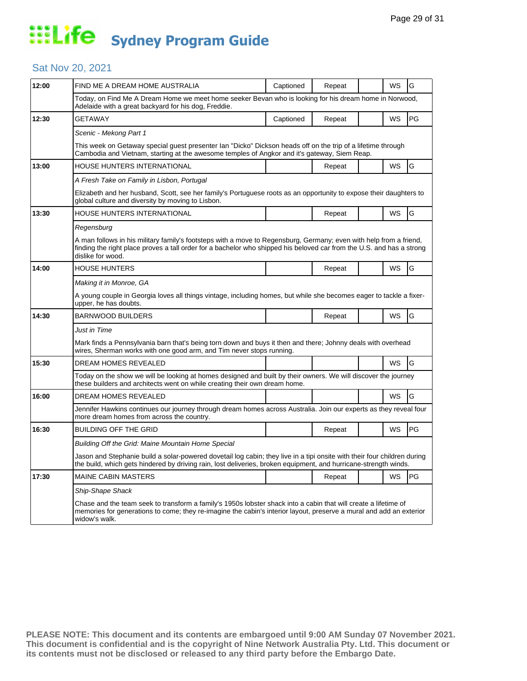### Sat Nov 20, 2021

| 12:00 | FIND ME A DREAM HOME AUSTRALIA                                                                                                                                                                                                                                   | Captioned | Repeat |  | WS | G  |  |  |
|-------|------------------------------------------------------------------------------------------------------------------------------------------------------------------------------------------------------------------------------------------------------------------|-----------|--------|--|----|----|--|--|
|       | Today, on Find Me A Dream Home we meet home seeker Bevan who is looking for his dream home in Norwood,<br>Adelaide with a great backyard for his dog, Freddie.                                                                                                   |           |        |  |    |    |  |  |
| 12:30 | <b>GETAWAY</b>                                                                                                                                                                                                                                                   | Captioned | Repeat |  | WS | PG |  |  |
|       | Scenic - Mekong Part 1                                                                                                                                                                                                                                           |           |        |  |    |    |  |  |
|       | This week on Getaway special guest presenter Ian "Dicko" Dickson heads off on the trip of a lifetime through<br>Cambodia and Vietnam, starting at the awesome temples of Angkor and it's gateway, Siem Reap.                                                     |           |        |  |    |    |  |  |
| 13:00 | <b>HOUSE HUNTERS INTERNATIONAL</b>                                                                                                                                                                                                                               |           | Repeat |  | WS | G  |  |  |
|       | A Fresh Take on Family in Lisbon, Portugal                                                                                                                                                                                                                       |           |        |  |    |    |  |  |
|       | Elizabeth and her husband, Scott, see her family's Portuguese roots as an opportunity to expose their daughters to<br>global culture and diversity by moving to Lisbon.                                                                                          |           |        |  |    |    |  |  |
| 13:30 | <b>HOUSE HUNTERS INTERNATIONAL</b>                                                                                                                                                                                                                               |           | Repeat |  | WS | G  |  |  |
|       | Regensburg                                                                                                                                                                                                                                                       |           |        |  |    |    |  |  |
|       | A man follows in his military family's footsteps with a move to Regensburg, Germany; even with help from a friend,<br>finding the right place proves a tall order for a bachelor who shipped his beloved car from the U.S. and has a strong<br>dislike for wood. |           |        |  |    |    |  |  |
| 14:00 | <b>HOUSE HUNTERS</b>                                                                                                                                                                                                                                             |           | Repeat |  | WS | G  |  |  |
|       | Making it in Monroe, GA                                                                                                                                                                                                                                          |           |        |  |    |    |  |  |
|       | A young couple in Georgia loves all things vintage, including homes, but while she becomes eager to tackle a fixer-<br>upper, he has doubts.                                                                                                                     |           |        |  |    |    |  |  |
| 14:30 | <b>BARNWOOD BUILDERS</b>                                                                                                                                                                                                                                         |           | Repeat |  | WS | G  |  |  |
|       | Just in Time                                                                                                                                                                                                                                                     |           |        |  |    |    |  |  |
|       | Mark finds a Pennsylvania barn that's being torn down and buys it then and there; Johnny deals with overhead<br>wires, Sherman works with one good arm, and Tim never stops running.                                                                             |           |        |  |    |    |  |  |
| 15:30 | DREAM HOMES REVEALED                                                                                                                                                                                                                                             |           |        |  | WS | G  |  |  |
|       | Today on the show we will be looking at homes designed and built by their owners. We will discover the journey<br>these builders and architects went on while creating their own dream home.                                                                     |           |        |  |    |    |  |  |
| 16:00 | DREAM HOMES REVEALED                                                                                                                                                                                                                                             |           |        |  | WS | G  |  |  |
|       | Jennifer Hawkins continues our journey through dream homes across Australia. Join our experts as they reveal four<br>more dream homes from across the country.                                                                                                   |           |        |  |    |    |  |  |
| 16:30 | <b>BUILDING OFF THE GRID</b>                                                                                                                                                                                                                                     |           | Repeat |  | WS | PG |  |  |
|       | Building Off the Grid: Maine Mountain Home Special                                                                                                                                                                                                               |           |        |  |    |    |  |  |
|       | Jason and Stephanie build a solar-powered dovetail log cabin; they live in a tipi onsite with their four children during<br>the build, which gets hindered by driving rain, lost deliveries, broken equipment, and hurricane-strength winds.                     |           |        |  |    |    |  |  |
| 17:30 | <b>MAINE CABIN MASTERS</b>                                                                                                                                                                                                                                       |           | Repeat |  | WS | PG |  |  |
|       | Ship-Shape Shack                                                                                                                                                                                                                                                 |           |        |  |    |    |  |  |
|       | Chase and the team seek to transform a family's 1950s lobster shack into a cabin that will create a lifetime of<br>memories for generations to come; they re-imagine the cabin's interior layout, preserve a mural and add an exterior<br>widow's walk.          |           |        |  |    |    |  |  |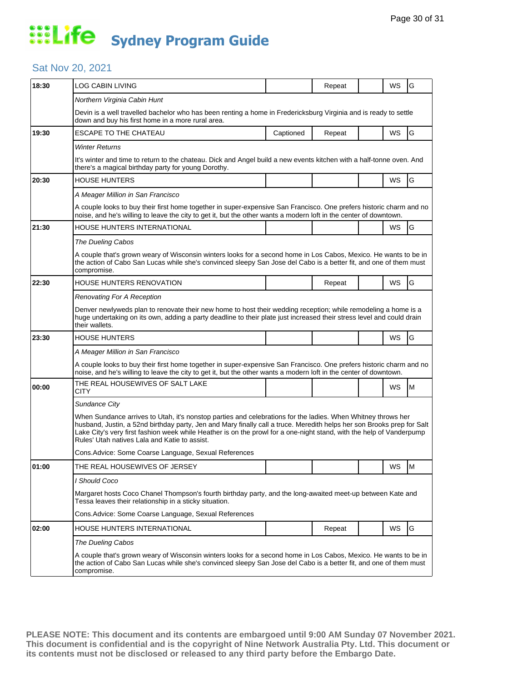### Sat Nov 20, 2021

|                                                                                                                                                                                                                                                                                                                                                                                                                 |                                                  |                                                                                                                |        |     | G                                                                                                                                                                                                                                                                                                                                                                                                                                                                                                                                                                                                                                                                                                                                   |  |  |
|-----------------------------------------------------------------------------------------------------------------------------------------------------------------------------------------------------------------------------------------------------------------------------------------------------------------------------------------------------------------------------------------------------------------|--------------------------------------------------|----------------------------------------------------------------------------------------------------------------|--------|-----|-------------------------------------------------------------------------------------------------------------------------------------------------------------------------------------------------------------------------------------------------------------------------------------------------------------------------------------------------------------------------------------------------------------------------------------------------------------------------------------------------------------------------------------------------------------------------------------------------------------------------------------------------------------------------------------------------------------------------------------|--|--|
|                                                                                                                                                                                                                                                                                                                                                                                                                 |                                                  |                                                                                                                |        |     |                                                                                                                                                                                                                                                                                                                                                                                                                                                                                                                                                                                                                                                                                                                                     |  |  |
|                                                                                                                                                                                                                                                                                                                                                                                                                 |                                                  |                                                                                                                |        |     |                                                                                                                                                                                                                                                                                                                                                                                                                                                                                                                                                                                                                                                                                                                                     |  |  |
| down and buy his first home in a more rural area.                                                                                                                                                                                                                                                                                                                                                               |                                                  |                                                                                                                |        |     |                                                                                                                                                                                                                                                                                                                                                                                                                                                                                                                                                                                                                                                                                                                                     |  |  |
| <b>ESCAPE TO THE CHATEAU</b>                                                                                                                                                                                                                                                                                                                                                                                    | Captioned                                        | Repeat                                                                                                         |        | WS  | G                                                                                                                                                                                                                                                                                                                                                                                                                                                                                                                                                                                                                                                                                                                                   |  |  |
| <b>Winter Returns</b>                                                                                                                                                                                                                                                                                                                                                                                           |                                                  |                                                                                                                |        |     |                                                                                                                                                                                                                                                                                                                                                                                                                                                                                                                                                                                                                                                                                                                                     |  |  |
| there's a magical birthday party for young Dorothy.                                                                                                                                                                                                                                                                                                                                                             |                                                  |                                                                                                                |        |     |                                                                                                                                                                                                                                                                                                                                                                                                                                                                                                                                                                                                                                                                                                                                     |  |  |
| <b>HOUSE HUNTERS</b>                                                                                                                                                                                                                                                                                                                                                                                            |                                                  |                                                                                                                |        | WS  | G                                                                                                                                                                                                                                                                                                                                                                                                                                                                                                                                                                                                                                                                                                                                   |  |  |
| A Meager Million in San Francisco                                                                                                                                                                                                                                                                                                                                                                               |                                                  |                                                                                                                |        |     |                                                                                                                                                                                                                                                                                                                                                                                                                                                                                                                                                                                                                                                                                                                                     |  |  |
|                                                                                                                                                                                                                                                                                                                                                                                                                 |                                                  |                                                                                                                |        |     |                                                                                                                                                                                                                                                                                                                                                                                                                                                                                                                                                                                                                                                                                                                                     |  |  |
| HOUSE HUNTERS INTERNATIONAL                                                                                                                                                                                                                                                                                                                                                                                     |                                                  |                                                                                                                |        | WS. | G                                                                                                                                                                                                                                                                                                                                                                                                                                                                                                                                                                                                                                                                                                                                   |  |  |
| The Dueling Cabos                                                                                                                                                                                                                                                                                                                                                                                               |                                                  |                                                                                                                |        |     |                                                                                                                                                                                                                                                                                                                                                                                                                                                                                                                                                                                                                                                                                                                                     |  |  |
| compromise.                                                                                                                                                                                                                                                                                                                                                                                                     |                                                  |                                                                                                                |        |     |                                                                                                                                                                                                                                                                                                                                                                                                                                                                                                                                                                                                                                                                                                                                     |  |  |
| HOUSE HUNTERS RENOVATION                                                                                                                                                                                                                                                                                                                                                                                        |                                                  | Repeat                                                                                                         |        | WS  | G                                                                                                                                                                                                                                                                                                                                                                                                                                                                                                                                                                                                                                                                                                                                   |  |  |
| Renovating For A Reception                                                                                                                                                                                                                                                                                                                                                                                      |                                                  |                                                                                                                |        |     |                                                                                                                                                                                                                                                                                                                                                                                                                                                                                                                                                                                                                                                                                                                                     |  |  |
| Denver newlyweds plan to renovate their new home to host their wedding reception; while remodeling a home is a<br>huge undertaking on its own, adding a party deadline to their plate just increased their stress level and could drain<br>their wallets.                                                                                                                                                       |                                                  |                                                                                                                |        |     |                                                                                                                                                                                                                                                                                                                                                                                                                                                                                                                                                                                                                                                                                                                                     |  |  |
| <b>HOUSE HUNTERS</b>                                                                                                                                                                                                                                                                                                                                                                                            |                                                  |                                                                                                                |        | WS  | G                                                                                                                                                                                                                                                                                                                                                                                                                                                                                                                                                                                                                                                                                                                                   |  |  |
| A Meager Million in San Francisco                                                                                                                                                                                                                                                                                                                                                                               |                                                  |                                                                                                                |        |     |                                                                                                                                                                                                                                                                                                                                                                                                                                                                                                                                                                                                                                                                                                                                     |  |  |
| A couple looks to buy their first home together in super-expensive San Francisco. One prefers historic charm and no<br>noise, and he's willing to leave the city to get it, but the other wants a modern loft in the center of downtown.                                                                                                                                                                        |                                                  |                                                                                                                |        |     |                                                                                                                                                                                                                                                                                                                                                                                                                                                                                                                                                                                                                                                                                                                                     |  |  |
| THE REAL HOUSEWIVES OF SALT LAKE<br>CITY                                                                                                                                                                                                                                                                                                                                                                        |                                                  |                                                                                                                |        | WS  | м                                                                                                                                                                                                                                                                                                                                                                                                                                                                                                                                                                                                                                                                                                                                   |  |  |
| Sundance City                                                                                                                                                                                                                                                                                                                                                                                                   |                                                  |                                                                                                                |        |     |                                                                                                                                                                                                                                                                                                                                                                                                                                                                                                                                                                                                                                                                                                                                     |  |  |
| When Sundance arrives to Utah, it's nonstop parties and celebrations for the ladies. When Whitney throws her<br>husband, Justin, a 52nd birthday party, Jen and Mary finally call a truce. Meredith helps her son Brooks prep for Salt<br>Lake City's very first fashion week while Heather is on the prowl for a one-night stand, with the help of Vanderpump<br>Rules' Utah natives Lala and Katie to assist. |                                                  |                                                                                                                |        |     |                                                                                                                                                                                                                                                                                                                                                                                                                                                                                                                                                                                                                                                                                                                                     |  |  |
|                                                                                                                                                                                                                                                                                                                                                                                                                 |                                                  |                                                                                                                |        |     |                                                                                                                                                                                                                                                                                                                                                                                                                                                                                                                                                                                                                                                                                                                                     |  |  |
| THE REAL HOUSEWIVES OF JERSEY                                                                                                                                                                                                                                                                                                                                                                                   |                                                  |                                                                                                                |        | WS  | M                                                                                                                                                                                                                                                                                                                                                                                                                                                                                                                                                                                                                                                                                                                                   |  |  |
| I Should Coco                                                                                                                                                                                                                                                                                                                                                                                                   |                                                  |                                                                                                                |        |     |                                                                                                                                                                                                                                                                                                                                                                                                                                                                                                                                                                                                                                                                                                                                     |  |  |
| Margaret hosts Coco Chanel Thompson's fourth birthday party, and the long-awaited meet-up between Kate and<br>Tessa leaves their relationship in a sticky situation.                                                                                                                                                                                                                                            |                                                  |                                                                                                                |        |     |                                                                                                                                                                                                                                                                                                                                                                                                                                                                                                                                                                                                                                                                                                                                     |  |  |
|                                                                                                                                                                                                                                                                                                                                                                                                                 |                                                  |                                                                                                                |        |     |                                                                                                                                                                                                                                                                                                                                                                                                                                                                                                                                                                                                                                                                                                                                     |  |  |
| <b>HOUSE HUNTERS INTERNATIONAL</b>                                                                                                                                                                                                                                                                                                                                                                              |                                                  | Repeat                                                                                                         |        | WS  | G                                                                                                                                                                                                                                                                                                                                                                                                                                                                                                                                                                                                                                                                                                                                   |  |  |
| <b>The Dueling Cabos</b>                                                                                                                                                                                                                                                                                                                                                                                        |                                                  |                                                                                                                |        |     |                                                                                                                                                                                                                                                                                                                                                                                                                                                                                                                                                                                                                                                                                                                                     |  |  |
| A couple that's grown weary of Wisconsin winters looks for a second home in Los Cabos, Mexico. He wants to be in<br>the action of Cabo San Lucas while she's convinced sleepy San Jose del Cabo is a better fit, and one of them must<br>compromise.                                                                                                                                                            |                                                  |                                                                                                                |        |     |                                                                                                                                                                                                                                                                                                                                                                                                                                                                                                                                                                                                                                                                                                                                     |  |  |
|                                                                                                                                                                                                                                                                                                                                                                                                                 | LOG CABIN LIVING<br>Northern Virginia Cabin Hunt | Cons. Advice: Some Coarse Language, Sexual References<br>Cons. Advice: Some Coarse Language, Sexual References | Repeat |     | WS<br>Devin is a well travelled bachelor who has been renting a home in Fredericksburg Virginia and is ready to settle<br>It's winter and time to return to the chateau. Dick and Angel build a new events kitchen with a half-tonne oven. And<br>A couple looks to buy their first home together in super-expensive San Francisco. One prefers historic charm and no<br>noise, and he's willing to leave the city to get it, but the other wants a modern loft in the center of downtown.<br>A couple that's grown weary of Wisconsin winters looks for a second home in Los Cabos, Mexico. He wants to be in<br>the action of Cabo San Lucas while she's convinced sleepy San Jose del Cabo is a better fit, and one of them must |  |  |